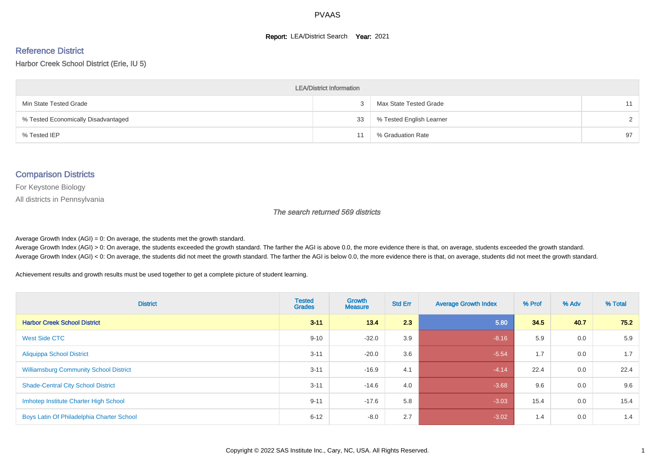#### **Report: LEA/District Search Year: 2021**

#### Reference District

#### Harbor Creek School District (Erie, IU 5)

| <b>LEA/District Information</b>     |    |                          |        |  |  |  |  |  |  |  |
|-------------------------------------|----|--------------------------|--------|--|--|--|--|--|--|--|
| Min State Tested Grade              |    | Max State Tested Grade   | 11     |  |  |  |  |  |  |  |
| % Tested Economically Disadvantaged | 33 | % Tested English Learner | $\sim$ |  |  |  |  |  |  |  |
| % Tested IEP                        |    | % Graduation Rate        | 97     |  |  |  |  |  |  |  |

#### Comparison Districts

For Keystone Biology

All districts in Pennsylvania

The search returned 569 districts

Average Growth Index  $(AGI) = 0$ : On average, the students met the growth standard.

Average Growth Index (AGI) > 0: On average, the students exceeded the growth standard. The farther the AGI is above 0.0, the more evidence there is that, on average, students exceeded the growth standard. Average Growth Index (AGI) < 0: On average, the students did not meet the growth standard. The farther the AGI is below 0.0, the more evidence there is that, on average, students did not meet the growth standard.

Achievement results and growth results must be used together to get a complete picture of student learning.

| <b>District</b>                               | <b>Tested</b><br><b>Grades</b> | Growth<br><b>Measure</b> | <b>Std Err</b> | <b>Average Growth Index</b> | % Prof | % Adv | % Total |
|-----------------------------------------------|--------------------------------|--------------------------|----------------|-----------------------------|--------|-------|---------|
| <b>Harbor Creek School District</b>           | $3 - 11$                       | 13.4                     | 2.3            | 5.80                        | 34.5   | 40.7  | 75.2    |
| West Side CTC                                 | $9 - 10$                       | $-32.0$                  | 3.9            | $-8.16$                     | 5.9    | 0.0   | 5.9     |
| <b>Aliquippa School District</b>              | $3 - 11$                       | $-20.0$                  | 3.6            | $-5.54$                     | 1.7    | 0.0   | 1.7     |
| <b>Williamsburg Community School District</b> | $3 - 11$                       | $-16.9$                  | 4.1            | $-4.14$                     | 22.4   | 0.0   | 22.4    |
| <b>Shade-Central City School District</b>     | $3 - 11$                       | $-14.6$                  | 4.0            | $-3.68$                     | 9.6    | 0.0   | 9.6     |
| Imhotep Institute Charter High School         | $9 - 11$                       | $-17.6$                  | 5.8            | $-3.03$                     | 15.4   | 0.0   | 15.4    |
| Boys Latin Of Philadelphia Charter School     | $6 - 12$                       | $-8.0$                   | 2.7            | $-3.02$                     | 1.4    | 0.0   | 1.4     |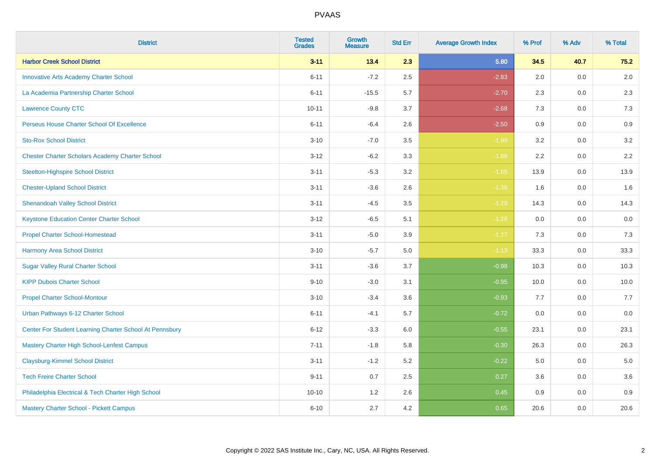| <b>District</b>                                         | <b>Tested</b><br><b>Grades</b> | <b>Growth</b><br><b>Measure</b> | <b>Std Err</b> | <b>Average Growth Index</b> | % Prof | % Adv   | % Total |
|---------------------------------------------------------|--------------------------------|---------------------------------|----------------|-----------------------------|--------|---------|---------|
| <b>Harbor Creek School District</b>                     | $3 - 11$                       | 13.4                            | 2.3            | 5.80                        | 34.5   | 40.7    | 75.2    |
| <b>Innovative Arts Academy Charter School</b>           | $6 - 11$                       | $-7.2$                          | 2.5            | $-2.83$                     | 2.0    | 0.0     | 2.0     |
| La Academia Partnership Charter School                  | $6 - 11$                       | $-15.5$                         | 5.7            | $-2.70$                     | 2.3    | $0.0\,$ | 2.3     |
| <b>Lawrence County CTC</b>                              | $10 - 11$                      | $-9.8$                          | 3.7            | $-2.68$                     | 7.3    | 0.0     | 7.3     |
| Perseus House Charter School Of Excellence              | $6 - 11$                       | $-6.4$                          | 2.6            | $-2.50$                     | 0.9    | 0.0     | 0.9     |
| <b>Sto-Rox School District</b>                          | $3 - 10$                       | $-7.0$                          | 3.5            | $-1.99$                     | 3.2    | 0.0     | 3.2     |
| <b>Chester Charter Scholars Academy Charter School</b>  | $3 - 12$                       | $-6.2$                          | 3.3            | $-1.88$                     | 2.2    | 0.0     | 2.2     |
| <b>Steelton-Highspire School District</b>               | $3 - 11$                       | $-5.3$                          | 3.2            | $-1.65$                     | 13.9   | 0.0     | 13.9    |
| <b>Chester-Upland School District</b>                   | $3 - 11$                       | $-3.6$                          | 2.6            | $-1.38$                     | 1.6    | 0.0     | 1.6     |
| <b>Shenandoah Valley School District</b>                | $3 - 11$                       | $-4.5$                          | 3.5            | $-1.29$                     | 14.3   | 0.0     | 14.3    |
| <b>Keystone Education Center Charter School</b>         | $3 - 12$                       | $-6.5$                          | 5.1            | $-1.28$                     | 0.0    | 0.0     | 0.0     |
| <b>Propel Charter School-Homestead</b>                  | $3 - 11$                       | $-5.0$                          | 3.9            | $-1.27$                     | 7.3    | 0.0     | 7.3     |
| <b>Harmony Area School District</b>                     | $3 - 10$                       | $-5.7$                          | $5.0\,$        | $-1.13$                     | 33.3   | 0.0     | 33.3    |
| <b>Sugar Valley Rural Charter School</b>                | $3 - 11$                       | $-3.6$                          | 3.7            | $-0.98$                     | 10.3   | 0.0     | 10.3    |
| <b>KIPP Dubois Charter School</b>                       | $9 - 10$                       | $-3.0$                          | 3.1            | $-0.95$                     | 10.0   | $0.0\,$ | 10.0    |
| <b>Propel Charter School-Montour</b>                    | $3 - 10$                       | $-3.4$                          | 3.6            | $-0.93$                     | 7.7    | 0.0     | 7.7     |
| Urban Pathways 6-12 Charter School                      | $6 - 11$                       | $-4.1$                          | 5.7            | $-0.72$                     | 0.0    | 0.0     | 0.0     |
| Center For Student Learning Charter School At Pennsbury | $6 - 12$                       | $-3.3$                          | 6.0            | $-0.55$                     | 23.1   | 0.0     | 23.1    |
| <b>Mastery Charter High School-Lenfest Campus</b>       | $7 - 11$                       | $-1.8$                          | 5.8            | $-0.30$                     | 26.3   | 0.0     | 26.3    |
| <b>Claysburg-Kimmel School District</b>                 | $3 - 11$                       | $-1.2$                          | 5.2            | $-0.22$                     | 5.0    | 0.0     | 5.0     |
| <b>Tech Freire Charter School</b>                       | $9 - 11$                       | 0.7                             | 2.5            | 0.27                        | 3.6    | 0.0     | 3.6     |
| Philadelphia Electrical & Tech Charter High School      | $10 - 10$                      | 1.2                             | 2.6            | 0.45                        | 0.9    | 0.0     | 0.9     |
| Mastery Charter School - Pickett Campus                 | $6 - 10$                       | 2.7                             | 4.2            | 0.65                        | 20.6   | $0.0\,$ | 20.6    |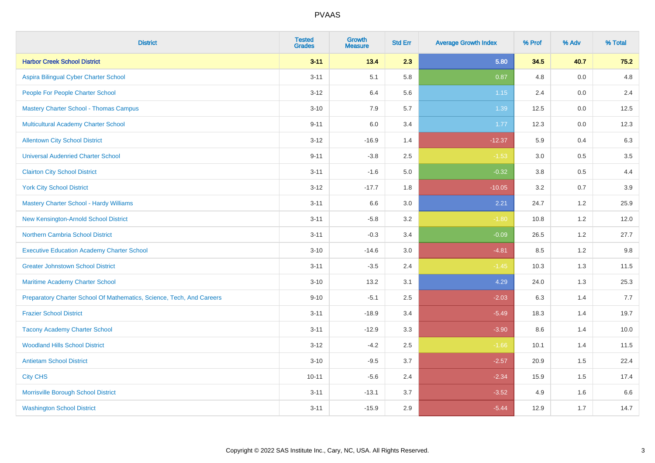| <b>District</b>                                                       | <b>Tested</b><br><b>Grades</b> | <b>Growth</b><br><b>Measure</b> | <b>Std Err</b> | <b>Average Growth Index</b> | % Prof | % Adv   | % Total |
|-----------------------------------------------------------------------|--------------------------------|---------------------------------|----------------|-----------------------------|--------|---------|---------|
| <b>Harbor Creek School District</b>                                   | $3 - 11$                       | 13.4                            | 2.3            | 5.80                        | 34.5   | 40.7    | 75.2    |
| Aspira Bilingual Cyber Charter School                                 | $3 - 11$                       | 5.1                             | 5.8            | 0.87                        | 4.8    | 0.0     | 4.8     |
| People For People Charter School                                      | $3 - 12$                       | 6.4                             | 5.6            | 1.15                        | 2.4    | 0.0     | 2.4     |
| <b>Mastery Charter School - Thomas Campus</b>                         | $3 - 10$                       | 7.9                             | 5.7            | 1.39                        | 12.5   | $0.0\,$ | 12.5    |
| Multicultural Academy Charter School                                  | $9 - 11$                       | 6.0                             | 3.4            | 1.77                        | 12.3   | 0.0     | 12.3    |
| <b>Allentown City School District</b>                                 | $3 - 12$                       | $-16.9$                         | 1.4            | $-12.37$                    | 5.9    | 0.4     | 6.3     |
| <b>Universal Audenried Charter School</b>                             | $9 - 11$                       | $-3.8$                          | 2.5            | $-1.53$                     | 3.0    | 0.5     | 3.5     |
| <b>Clairton City School District</b>                                  | $3 - 11$                       | $-1.6$                          | $5.0\,$        | $-0.32$                     | 3.8    | 0.5     | 4.4     |
| <b>York City School District</b>                                      | $3 - 12$                       | $-17.7$                         | 1.8            | $-10.05$                    | 3.2    | 0.7     | 3.9     |
| <b>Mastery Charter School - Hardy Williams</b>                        | $3 - 11$                       | 6.6                             | 3.0            | 2.21                        | 24.7   | 1.2     | 25.9    |
| New Kensington-Arnold School District                                 | $3 - 11$                       | $-5.8$                          | 3.2            | $-1.80$                     | 10.8   | 1.2     | 12.0    |
| <b>Northern Cambria School District</b>                               | $3 - 11$                       | $-0.3$                          | 3.4            | $-0.09$                     | 26.5   | 1.2     | 27.7    |
| <b>Executive Education Academy Charter School</b>                     | $3 - 10$                       | $-14.6$                         | 3.0            | $-4.81$                     | 8.5    | 1.2     | 9.8     |
| <b>Greater Johnstown School District</b>                              | $3 - 11$                       | $-3.5$                          | 2.4            | $-1.45$                     | 10.3   | 1.3     | 11.5    |
| Maritime Academy Charter School                                       | $3 - 10$                       | 13.2                            | 3.1            | 4.29                        | 24.0   | 1.3     | 25.3    |
| Preparatory Charter School Of Mathematics, Science, Tech, And Careers | $9 - 10$                       | $-5.1$                          | 2.5            | $-2.03$                     | 6.3    | 1.4     | 7.7     |
| <b>Frazier School District</b>                                        | $3 - 11$                       | $-18.9$                         | 3.4            | $-5.49$                     | 18.3   | 1.4     | 19.7    |
| <b>Tacony Academy Charter School</b>                                  | $3 - 11$                       | $-12.9$                         | 3.3            | $-3.90$                     | 8.6    | 1.4     | 10.0    |
| <b>Woodland Hills School District</b>                                 | $3 - 12$                       | $-4.2$                          | 2.5            | $-1.66$                     | 10.1   | 1.4     | 11.5    |
| <b>Antietam School District</b>                                       | $3 - 10$                       | $-9.5$                          | 3.7            | $-2.57$                     | 20.9   | 1.5     | 22.4    |
| <b>City CHS</b>                                                       | $10 - 11$                      | $-5.6$                          | 2.4            | $-2.34$                     | 15.9   | 1.5     | 17.4    |
| Morrisville Borough School District                                   | $3 - 11$                       | $-13.1$                         | 3.7            | $-3.52$                     | 4.9    | 1.6     | 6.6     |
| <b>Washington School District</b>                                     | $3 - 11$                       | $-15.9$                         | 2.9            | $-5.44$                     | 12.9   | 1.7     | 14.7    |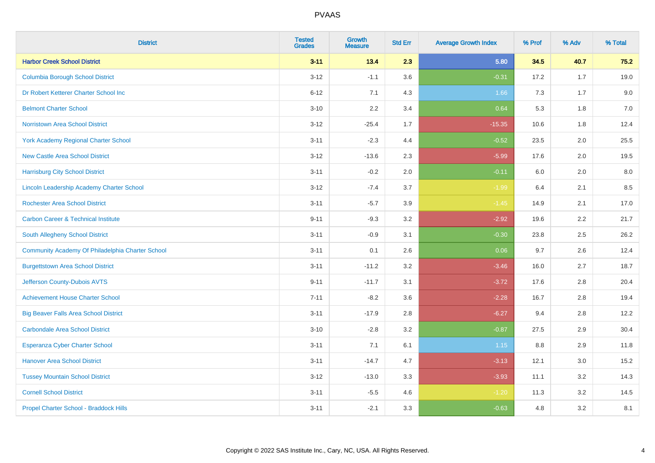| <b>District</b>                                  | <b>Tested</b><br><b>Grades</b> | <b>Growth</b><br><b>Measure</b> | <b>Std Err</b> | <b>Average Growth Index</b> | % Prof | % Adv | % Total |
|--------------------------------------------------|--------------------------------|---------------------------------|----------------|-----------------------------|--------|-------|---------|
| <b>Harbor Creek School District</b>              | $3 - 11$                       | 13.4                            | 2.3            | 5.80                        | 34.5   | 40.7  | 75.2    |
| <b>Columbia Borough School District</b>          | $3 - 12$                       | $-1.1$                          | 3.6            | $-0.31$                     | 17.2   | 1.7   | 19.0    |
| Dr Robert Ketterer Charter School Inc            | $6 - 12$                       | 7.1                             | 4.3            | 1.66                        | 7.3    | 1.7   | 9.0     |
| <b>Belmont Charter School</b>                    | $3 - 10$                       | 2.2                             | 3.4            | 0.64                        | 5.3    | 1.8   | $7.0\,$ |
| <b>Norristown Area School District</b>           | $3 - 12$                       | $-25.4$                         | 1.7            | $-15.35$                    | 10.6   | 1.8   | 12.4    |
| <b>York Academy Regional Charter School</b>      | $3 - 11$                       | $-2.3$                          | 4.4            | $-0.52$                     | 23.5   | 2.0   | 25.5    |
| <b>New Castle Area School District</b>           | $3 - 12$                       | $-13.6$                         | 2.3            | $-5.99$                     | 17.6   | 2.0   | 19.5    |
| <b>Harrisburg City School District</b>           | $3 - 11$                       | $-0.2$                          | 2.0            | $-0.11$                     | 6.0    | 2.0   | 8.0     |
| <b>Lincoln Leadership Academy Charter School</b> | $3 - 12$                       | $-7.4$                          | 3.7            | $-1.99$                     | 6.4    | 2.1   | 8.5     |
| <b>Rochester Area School District</b>            | $3 - 11$                       | $-5.7$                          | 3.9            | $-1.45$                     | 14.9   | 2.1   | 17.0    |
| <b>Carbon Career &amp; Technical Institute</b>   | $9 - 11$                       | $-9.3$                          | 3.2            | $-2.92$                     | 19.6   | 2.2   | 21.7    |
| South Allegheny School District                  | $3 - 11$                       | $-0.9$                          | 3.1            | $-0.30$                     | 23.8   | 2.5   | 26.2    |
| Community Academy Of Philadelphia Charter School | $3 - 11$                       | 0.1                             | 2.6            | 0.06                        | 9.7    | 2.6   | 12.4    |
| <b>Burgettstown Area School District</b>         | $3 - 11$                       | $-11.2$                         | 3.2            | $-3.46$                     | 16.0   | 2.7   | 18.7    |
| Jefferson County-Dubois AVTS                     | $9 - 11$                       | $-11.7$                         | 3.1            | $-3.72$                     | 17.6   | 2.8   | 20.4    |
| <b>Achievement House Charter School</b>          | $7 - 11$                       | $-8.2$                          | 3.6            | $-2.28$                     | 16.7   | 2.8   | 19.4    |
| <b>Big Beaver Falls Area School District</b>     | $3 - 11$                       | $-17.9$                         | 2.8            | $-6.27$                     | 9.4    | 2.8   | 12.2    |
| <b>Carbondale Area School District</b>           | $3 - 10$                       | $-2.8$                          | 3.2            | $-0.87$                     | 27.5   | 2.9   | 30.4    |
| <b>Esperanza Cyber Charter School</b>            | $3 - 11$                       | 7.1                             | 6.1            | 1.15                        | 8.8    | 2.9   | 11.8    |
| <b>Hanover Area School District</b>              | $3 - 11$                       | $-14.7$                         | 4.7            | $-3.13$                     | 12.1   | 3.0   | 15.2    |
| <b>Tussey Mountain School District</b>           | $3 - 12$                       | $-13.0$                         | 3.3            | $-3.93$                     | 11.1   | 3.2   | 14.3    |
| <b>Cornell School District</b>                   | $3 - 11$                       | $-5.5$                          | 4.6            | $-1.20$                     | 11.3   | 3.2   | 14.5    |
| Propel Charter School - Braddock Hills           | $3 - 11$                       | $-2.1$                          | 3.3            | $-0.63$                     | 4.8    | 3.2   | 8.1     |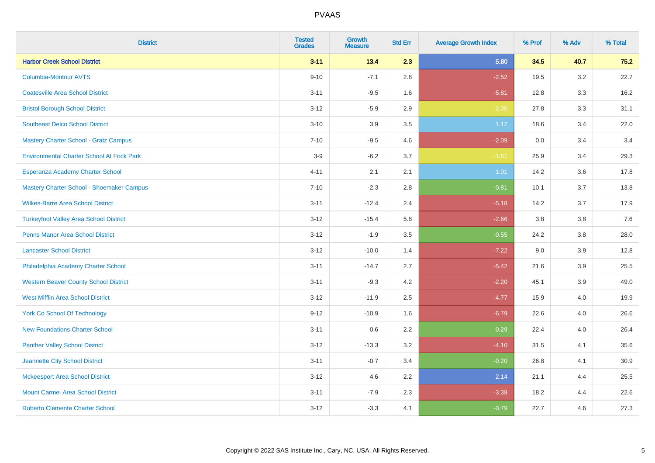| <b>District</b>                                   | <b>Tested</b><br><b>Grades</b> | <b>Growth</b><br><b>Measure</b> | <b>Std Err</b> | <b>Average Growth Index</b> | % Prof | % Adv   | % Total |
|---------------------------------------------------|--------------------------------|---------------------------------|----------------|-----------------------------|--------|---------|---------|
| <b>Harbor Creek School District</b>               | $3 - 11$                       | 13.4                            | 2.3            | 5.80                        | 34.5   | 40.7    | 75.2    |
| <b>Columbia-Montour AVTS</b>                      | $9 - 10$                       | $-7.1$                          | $2.8\,$        | $-2.52$                     | 19.5   | $3.2\,$ | 22.7    |
| <b>Coatesville Area School District</b>           | $3 - 11$                       | $-9.5$                          | 1.6            | $-5.81$                     | 12.8   | 3.3     | 16.2    |
| <b>Bristol Borough School District</b>            | $3 - 12$                       | $-5.9$                          | 2.9            | $-2.00$                     | 27.8   | 3.3     | 31.1    |
| <b>Southeast Delco School District</b>            | $3 - 10$                       | 3.9                             | 3.5            | 1.12                        | 18.6   | 3.4     | 22.0    |
| Mastery Charter School - Gratz Campus             | $7 - 10$                       | $-9.5$                          | 4.6            | $-2.09$                     | 0.0    | 3.4     | 3.4     |
| <b>Environmental Charter School At Frick Park</b> | $3-9$                          | $-6.2$                          | 3.7            | $-1.67$                     | 25.9   | 3.4     | 29.3    |
| Esperanza Academy Charter School                  | $4 - 11$                       | 2.1                             | 2.1            | 1.01                        | 14.2   | 3.6     | 17.8    |
| Mastery Charter School - Shoemaker Campus         | $7 - 10$                       | $-2.3$                          | 2.8            | $-0.81$                     | 10.1   | 3.7     | 13.8    |
| <b>Wilkes-Barre Area School District</b>          | $3 - 11$                       | $-12.4$                         | 2.4            | $-5.18$                     | 14.2   | 3.7     | 17.9    |
| <b>Turkeyfoot Valley Area School District</b>     | $3 - 12$                       | $-15.4$                         | 5.8            | $-2.66$                     | 3.8    | 3.8     | 7.6     |
| <b>Penns Manor Area School District</b>           | $3 - 12$                       | $-1.9$                          | 3.5            | $-0.55$                     | 24.2   | 3.8     | 28.0    |
| <b>Lancaster School District</b>                  | $3-12$                         | $-10.0$                         | 1.4            | $-7.22$                     | 9.0    | $3.9\,$ | 12.8    |
| Philadelphia Academy Charter School               | $3 - 11$                       | $-14.7$                         | 2.7            | $-5.42$                     | 21.6   | 3.9     | 25.5    |
| <b>Western Beaver County School District</b>      | $3 - 11$                       | $-9.3$                          | 4.2            | $-2.20$                     | 45.1   | 3.9     | 49.0    |
| <b>West Mifflin Area School District</b>          | $3 - 12$                       | $-11.9$                         | 2.5            | $-4.77$                     | 15.9   | 4.0     | 19.9    |
| <b>York Co School Of Technology</b>               | $9 - 12$                       | $-10.9$                         | 1.6            | $-6.79$                     | 22.6   | 4.0     | 26.6    |
| <b>New Foundations Charter School</b>             | $3 - 11$                       | 0.6                             | 2.2            | 0.29                        | 22.4   | 4.0     | 26.4    |
| <b>Panther Valley School District</b>             | $3 - 12$                       | $-13.3$                         | 3.2            | $-4.10$                     | 31.5   | 4.1     | 35.6    |
| Jeannette City School District                    | $3 - 11$                       | $-0.7$                          | 3.4            | $-0.20$                     | 26.8   | 4.1     | 30.9    |
| <b>Mckeesport Area School District</b>            | $3 - 12$                       | 4.6                             | 2.2            | 2.14                        | 21.1   | 4.4     | 25.5    |
| <b>Mount Carmel Area School District</b>          | $3 - 11$                       | $-7.9$                          | 2.3            | $-3.38$                     | 18.2   | 4.4     | 22.6    |
| <b>Roberto Clemente Charter School</b>            | $3 - 12$                       | $-3.3$                          | 4.1            | $-0.79$                     | 22.7   | 4.6     | 27.3    |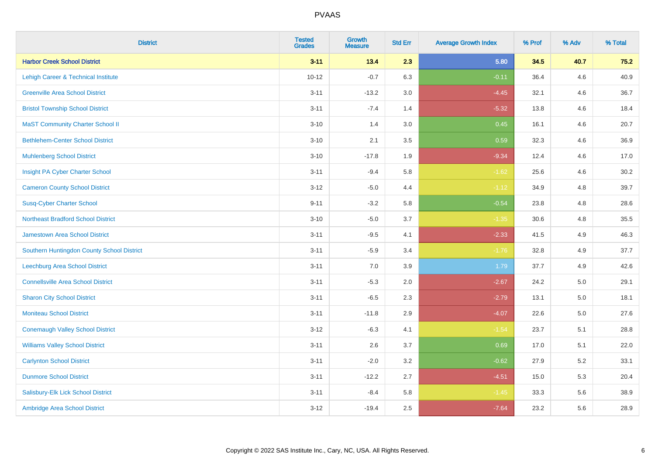| <b>District</b>                            | <b>Tested</b><br><b>Grades</b> | <b>Growth</b><br><b>Measure</b> | <b>Std Err</b> | <b>Average Growth Index</b> | % Prof | % Adv   | % Total |
|--------------------------------------------|--------------------------------|---------------------------------|----------------|-----------------------------|--------|---------|---------|
| <b>Harbor Creek School District</b>        | $3 - 11$                       | 13.4                            | 2.3            | 5.80                        | 34.5   | 40.7    | 75.2    |
| Lehigh Career & Technical Institute        | $10 - 12$                      | $-0.7$                          | 6.3            | $-0.11$                     | 36.4   | 4.6     | 40.9    |
| <b>Greenville Area School District</b>     | $3 - 11$                       | $-13.2$                         | 3.0            | $-4.45$                     | 32.1   | 4.6     | 36.7    |
| <b>Bristol Township School District</b>    | $3 - 11$                       | $-7.4$                          | 1.4            | $-5.32$                     | 13.8   | 4.6     | 18.4    |
| <b>MaST Community Charter School II</b>    | $3 - 10$                       | 1.4                             | 3.0            | 0.45                        | 16.1   | 4.6     | 20.7    |
| <b>Bethlehem-Center School District</b>    | $3 - 10$                       | 2.1                             | 3.5            | 0.59                        | 32.3   | 4.6     | 36.9    |
| <b>Muhlenberg School District</b>          | $3 - 10$                       | $-17.8$                         | 1.9            | $-9.34$                     | 12.4   | 4.6     | 17.0    |
| Insight PA Cyber Charter School            | $3 - 11$                       | $-9.4$                          | 5.8            | $-1.62$                     | 25.6   | 4.6     | 30.2    |
| <b>Cameron County School District</b>      | $3 - 12$                       | $-5.0$                          | 4.4            | $-1.12$                     | 34.9   | 4.8     | 39.7    |
| <b>Susq-Cyber Charter School</b>           | $9 - 11$                       | $-3.2$                          | 5.8            | $-0.54$                     | 23.8   | 4.8     | 28.6    |
| <b>Northeast Bradford School District</b>  | $3 - 10$                       | $-5.0$                          | 3.7            | $-1.35$                     | 30.6   | 4.8     | 35.5    |
| Jamestown Area School District             | $3 - 11$                       | $-9.5$                          | 4.1            | $-2.33$                     | 41.5   | 4.9     | 46.3    |
| Southern Huntingdon County School District | $3 - 11$                       | $-5.9$                          | 3.4            | $-1.76$                     | 32.8   | 4.9     | 37.7    |
| <b>Leechburg Area School District</b>      | $3 - 11$                       | 7.0                             | 3.9            | 1.79                        | 37.7   | 4.9     | 42.6    |
| <b>Connellsville Area School District</b>  | $3 - 11$                       | $-5.3$                          | 2.0            | $-2.67$                     | 24.2   | 5.0     | 29.1    |
| <b>Sharon City School District</b>         | $3 - 11$                       | $-6.5$                          | 2.3            | $-2.79$                     | 13.1   | $5.0\,$ | 18.1    |
| <b>Moniteau School District</b>            | $3 - 11$                       | $-11.8$                         | 2.9            | $-4.07$                     | 22.6   | 5.0     | 27.6    |
| <b>Conemaugh Valley School District</b>    | $3 - 12$                       | $-6.3$                          | 4.1            | $-1.54$                     | 23.7   | 5.1     | 28.8    |
| <b>Williams Valley School District</b>     | $3 - 11$                       | 2.6                             | 3.7            | 0.69                        | 17.0   | 5.1     | 22.0    |
| <b>Carlynton School District</b>           | $3 - 11$                       | $-2.0$                          | 3.2            | $-0.62$                     | 27.9   | 5.2     | 33.1    |
| <b>Dunmore School District</b>             | $3 - 11$                       | $-12.2$                         | 2.7            | $-4.51$                     | 15.0   | 5.3     | 20.4    |
| Salisbury-Elk Lick School District         | $3 - 11$                       | $-8.4$                          | 5.8            | $-1.45$                     | 33.3   | 5.6     | 38.9    |
| Ambridge Area School District              | $3 - 12$                       | $-19.4$                         | 2.5            | $-7.64$                     | 23.2   | 5.6     | 28.9    |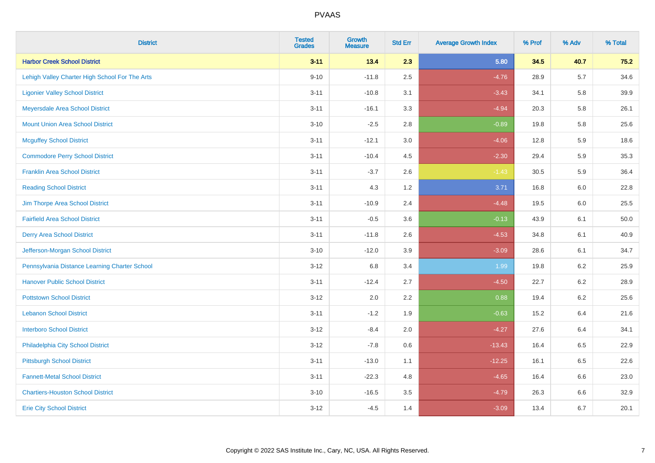| <b>District</b>                                | <b>Tested</b><br><b>Grades</b> | Growth<br><b>Measure</b> | <b>Std Err</b> | <b>Average Growth Index</b> | % Prof | % Adv   | % Total |
|------------------------------------------------|--------------------------------|--------------------------|----------------|-----------------------------|--------|---------|---------|
| <b>Harbor Creek School District</b>            | $3 - 11$                       | 13.4                     | 2.3            | 5.80                        | 34.5   | 40.7    | 75.2    |
| Lehigh Valley Charter High School For The Arts | $9 - 10$                       | $-11.8$                  | 2.5            | $-4.76$                     | 28.9   | 5.7     | 34.6    |
| <b>Ligonier Valley School District</b>         | $3 - 11$                       | $-10.8$                  | 3.1            | $-3.43$                     | 34.1   | 5.8     | 39.9    |
| Meyersdale Area School District                | $3 - 11$                       | $-16.1$                  | 3.3            | $-4.94$                     | 20.3   | 5.8     | 26.1    |
| <b>Mount Union Area School District</b>        | $3 - 10$                       | $-2.5$                   | 2.8            | $-0.89$                     | 19.8   | 5.8     | 25.6    |
| <b>Mcguffey School District</b>                | $3 - 11$                       | $-12.1$                  | 3.0            | $-4.06$                     | 12.8   | 5.9     | 18.6    |
| <b>Commodore Perry School District</b>         | $3 - 11$                       | $-10.4$                  | 4.5            | $-2.30$                     | 29.4   | 5.9     | 35.3    |
| <b>Franklin Area School District</b>           | $3 - 11$                       | $-3.7$                   | 2.6            | $-1.43$                     | 30.5   | 5.9     | 36.4    |
| <b>Reading School District</b>                 | $3 - 11$                       | 4.3                      | 1.2            | 3.71                        | 16.8   | 6.0     | 22.8    |
| Jim Thorpe Area School District                | $3 - 11$                       | $-10.9$                  | 2.4            | $-4.48$                     | 19.5   | 6.0     | 25.5    |
| <b>Fairfield Area School District</b>          | $3 - 11$                       | $-0.5$                   | 3.6            | $-0.13$                     | 43.9   | 6.1     | 50.0    |
| <b>Derry Area School District</b>              | $3 - 11$                       | $-11.8$                  | 2.6            | $-4.53$                     | 34.8   | 6.1     | 40.9    |
| Jefferson-Morgan School District               | $3 - 10$                       | $-12.0$                  | 3.9            | $-3.09$                     | 28.6   | 6.1     | 34.7    |
| Pennsylvania Distance Learning Charter School  | $3 - 12$                       | 6.8                      | 3.4            | 1.99                        | 19.8   | $6.2\,$ | 25.9    |
| <b>Hanover Public School District</b>          | $3 - 11$                       | $-12.4$                  | 2.7            | $-4.50$                     | 22.7   | 6.2     | 28.9    |
| <b>Pottstown School District</b>               | $3-12$                         | 2.0                      | 2.2            | 0.88                        | 19.4   | $6.2\,$ | 25.6    |
| <b>Lebanon School District</b>                 | $3 - 11$                       | $-1.2$                   | 1.9            | $-0.63$                     | 15.2   | 6.4     | 21.6    |
| <b>Interboro School District</b>               | $3-12$                         | $-8.4$                   | 2.0            | $-4.27$                     | 27.6   | 6.4     | 34.1    |
| Philadelphia City School District              | $3 - 12$                       | $-7.8$                   | 0.6            | $-13.43$                    | 16.4   | 6.5     | 22.9    |
| <b>Pittsburgh School District</b>              | $3 - 11$                       | $-13.0$                  | 1.1            | $-12.25$                    | 16.1   | 6.5     | 22.6    |
| <b>Fannett-Metal School District</b>           | $3 - 11$                       | $-22.3$                  | 4.8            | $-4.65$                     | 16.4   | 6.6     | 23.0    |
| <b>Chartiers-Houston School District</b>       | $3 - 10$                       | $-16.5$                  | 3.5            | $-4.79$                     | 26.3   | $6.6\,$ | 32.9    |
| <b>Erie City School District</b>               | $3 - 12$                       | $-4.5$                   | 1.4            | $-3.09$                     | 13.4   | 6.7     | 20.1    |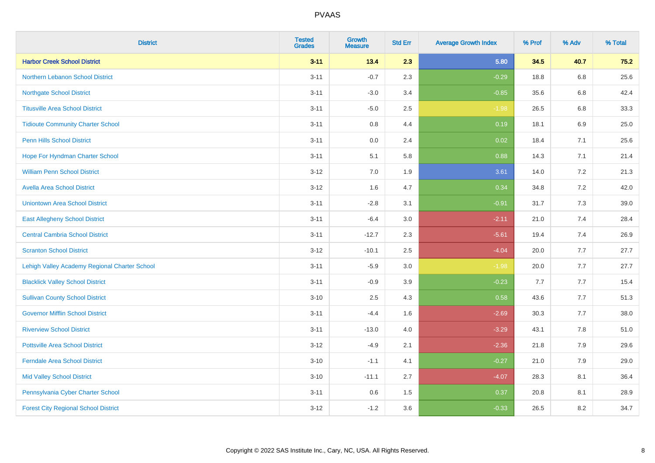| <b>District</b>                               | <b>Tested</b><br><b>Grades</b> | Growth<br><b>Measure</b> | <b>Std Err</b> | <b>Average Growth Index</b> | % Prof | % Adv   | % Total |
|-----------------------------------------------|--------------------------------|--------------------------|----------------|-----------------------------|--------|---------|---------|
| <b>Harbor Creek School District</b>           | $3 - 11$                       | 13.4                     | 2.3            | 5.80                        | 34.5   | 40.7    | 75.2    |
| Northern Lebanon School District              | $3 - 11$                       | $-0.7$                   | 2.3            | $-0.29$                     | 18.8   | 6.8     | 25.6    |
| <b>Northgate School District</b>              | $3 - 11$                       | $-3.0$                   | 3.4            | $-0.85$                     | 35.6   | 6.8     | 42.4    |
| <b>Titusville Area School District</b>        | $3 - 11$                       | $-5.0$                   | 2.5            | $-1.98$                     | 26.5   | $6.8\,$ | 33.3    |
| <b>Tidioute Community Charter School</b>      | $3 - 11$                       | 0.8                      | 4.4            | 0.19                        | 18.1   | 6.9     | 25.0    |
| <b>Penn Hills School District</b>             | $3 - 11$                       | 0.0                      | 2.4            | 0.02                        | 18.4   | 7.1     | 25.6    |
| Hope For Hyndman Charter School               | $3 - 11$                       | 5.1                      | 5.8            | 0.88                        | 14.3   | 7.1     | 21.4    |
| <b>William Penn School District</b>           | $3 - 12$                       | 7.0                      | 1.9            | 3.61                        | 14.0   | 7.2     | 21.3    |
| <b>Avella Area School District</b>            | $3 - 12$                       | 1.6                      | 4.7            | 0.34                        | 34.8   | 7.2     | 42.0    |
| <b>Uniontown Area School District</b>         | $3 - 11$                       | $-2.8$                   | 3.1            | $-0.91$                     | 31.7   | 7.3     | 39.0    |
| <b>East Allegheny School District</b>         | $3 - 11$                       | $-6.4$                   | 3.0            | $-2.11$                     | 21.0   | 7.4     | 28.4    |
| <b>Central Cambria School District</b>        | $3 - 11$                       | $-12.7$                  | 2.3            | $-5.61$                     | 19.4   | 7.4     | 26.9    |
| <b>Scranton School District</b>               | $3 - 12$                       | $-10.1$                  | 2.5            | $-4.04$                     | 20.0   | 7.7     | 27.7    |
| Lehigh Valley Academy Regional Charter School | $3 - 11$                       | $-5.9$                   | 3.0            | $-1.98$                     | 20.0   | 7.7     | 27.7    |
| <b>Blacklick Valley School District</b>       | $3 - 11$                       | $-0.9$                   | 3.9            | $-0.23$                     | 7.7    | 7.7     | 15.4    |
| <b>Sullivan County School District</b>        | $3 - 10$                       | 2.5                      | 4.3            | 0.58                        | 43.6   | 7.7     | 51.3    |
| <b>Governor Mifflin School District</b>       | $3 - 11$                       | $-4.4$                   | 1.6            | $-2.69$                     | 30.3   | 7.7     | 38.0    |
| <b>Riverview School District</b>              | $3 - 11$                       | $-13.0$                  | 4.0            | $-3.29$                     | 43.1   | 7.8     | 51.0    |
| <b>Pottsville Area School District</b>        | $3 - 12$                       | $-4.9$                   | 2.1            | $-2.36$                     | 21.8   | 7.9     | 29.6    |
| <b>Ferndale Area School District</b>          | $3 - 10$                       | $-1.1$                   | 4.1            | $-0.27$                     | 21.0   | 7.9     | 29.0    |
| <b>Mid Valley School District</b>             | $3 - 10$                       | $-11.1$                  | 2.7            | $-4.07$                     | 28.3   | 8.1     | 36.4    |
| Pennsylvania Cyber Charter School             | $3 - 11$                       | 0.6                      | 1.5            | 0.37                        | 20.8   | 8.1     | 28.9    |
| <b>Forest City Regional School District</b>   | $3 - 12$                       | $-1.2$                   | 3.6            | $-0.33$                     | 26.5   | 8.2     | 34.7    |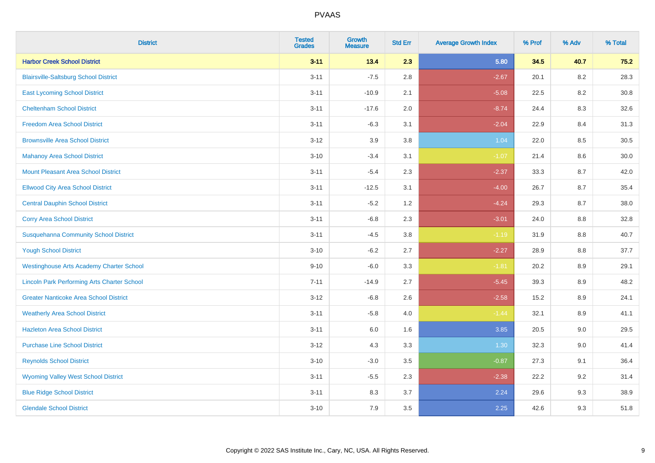| <b>District</b>                                    | <b>Tested</b><br><b>Grades</b> | <b>Growth</b><br><b>Measure</b> | <b>Std Err</b> | <b>Average Growth Index</b> | % Prof | % Adv   | % Total |
|----------------------------------------------------|--------------------------------|---------------------------------|----------------|-----------------------------|--------|---------|---------|
| <b>Harbor Creek School District</b>                | $3 - 11$                       | 13.4                            | 2.3            | 5.80                        | 34.5   | 40.7    | 75.2    |
| <b>Blairsville-Saltsburg School District</b>       | $3 - 11$                       | $-7.5$                          | 2.8            | $-2.67$                     | 20.1   | 8.2     | 28.3    |
| <b>East Lycoming School District</b>               | $3 - 11$                       | $-10.9$                         | 2.1            | $-5.08$                     | 22.5   | 8.2     | 30.8    |
| <b>Cheltenham School District</b>                  | $3 - 11$                       | $-17.6$                         | 2.0            | $-8.74$                     | 24.4   | 8.3     | 32.6    |
| <b>Freedom Area School District</b>                | $3 - 11$                       | $-6.3$                          | 3.1            | $-2.04$                     | 22.9   | 8.4     | 31.3    |
| <b>Brownsville Area School District</b>            | $3 - 12$                       | 3.9                             | 3.8            | 1.04                        | 22.0   | 8.5     | 30.5    |
| <b>Mahanoy Area School District</b>                | $3 - 10$                       | $-3.4$                          | 3.1            | $-1.07$                     | 21.4   | 8.6     | 30.0    |
| <b>Mount Pleasant Area School District</b>         | $3 - 11$                       | $-5.4$                          | 2.3            | $-2.37$                     | 33.3   | 8.7     | 42.0    |
| <b>Ellwood City Area School District</b>           | $3 - 11$                       | $-12.5$                         | 3.1            | $-4.00$                     | 26.7   | 8.7     | 35.4    |
| <b>Central Dauphin School District</b>             | $3 - 11$                       | $-5.2$                          | 1.2            | $-4.24$                     | 29.3   | 8.7     | 38.0    |
| <b>Corry Area School District</b>                  | $3 - 11$                       | $-6.8$                          | 2.3            | $-3.01$                     | 24.0   | 8.8     | 32.8    |
| <b>Susquehanna Community School District</b>       | $3 - 11$                       | $-4.5$                          | 3.8            | $-1.19$                     | 31.9   | 8.8     | 40.7    |
| <b>Yough School District</b>                       | $3 - 10$                       | $-6.2$                          | 2.7            | $-2.27$                     | 28.9   | 8.8     | 37.7    |
| <b>Westinghouse Arts Academy Charter School</b>    | $9 - 10$                       | $-6.0$                          | 3.3            | $-1.81$                     | 20.2   | 8.9     | 29.1    |
| <b>Lincoln Park Performing Arts Charter School</b> | $7 - 11$                       | $-14.9$                         | 2.7            | $-5.45$                     | 39.3   | 8.9     | 48.2    |
| <b>Greater Nanticoke Area School District</b>      | $3 - 12$                       | $-6.8$                          | 2.6            | $-2.58$                     | 15.2   | 8.9     | 24.1    |
| <b>Weatherly Area School District</b>              | $3 - 11$                       | $-5.8$                          | 4.0            | $-1.44$                     | 32.1   | 8.9     | 41.1    |
| <b>Hazleton Area School District</b>               | $3 - 11$                       | 6.0                             | 1.6            | 3.85                        | 20.5   | $9.0\,$ | 29.5    |
| <b>Purchase Line School District</b>               | $3 - 12$                       | 4.3                             | 3.3            | 1.30                        | 32.3   | 9.0     | 41.4    |
| <b>Reynolds School District</b>                    | $3 - 10$                       | $-3.0$                          | 3.5            | $-0.87$                     | 27.3   | 9.1     | 36.4    |
| <b>Wyoming Valley West School District</b>         | $3 - 11$                       | $-5.5$                          | 2.3            | $-2.38$                     | 22.2   | 9.2     | 31.4    |
| <b>Blue Ridge School District</b>                  | $3 - 11$                       | 8.3                             | 3.7            | 2.24                        | 29.6   | 9.3     | 38.9    |
| <b>Glendale School District</b>                    | $3 - 10$                       | 7.9                             | 3.5            | 2.25                        | 42.6   | 9.3     | 51.8    |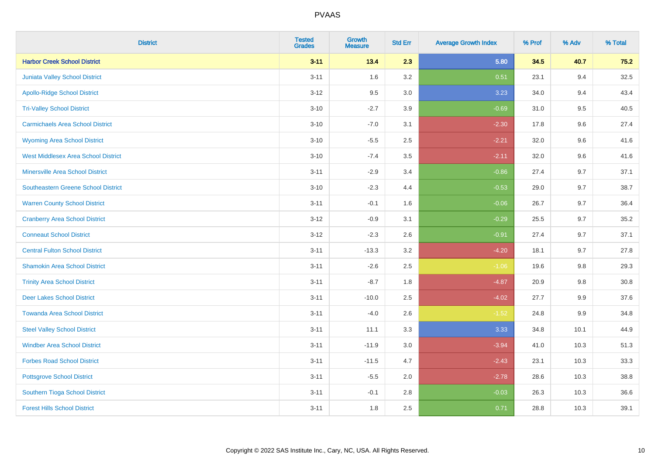| <b>District</b>                            | <b>Tested</b><br><b>Grades</b> | <b>Growth</b><br><b>Measure</b> | <b>Std Err</b> | <b>Average Growth Index</b> | % Prof | % Adv   | % Total |
|--------------------------------------------|--------------------------------|---------------------------------|----------------|-----------------------------|--------|---------|---------|
| <b>Harbor Creek School District</b>        | $3 - 11$                       | 13.4                            | 2.3            | 5.80                        | 34.5   | 40.7    | 75.2    |
| <b>Juniata Valley School District</b>      | $3 - 11$                       | 1.6                             | 3.2            | 0.51                        | 23.1   | 9.4     | 32.5    |
| <b>Apollo-Ridge School District</b>        | $3 - 12$                       | 9.5                             | 3.0            | 3.23                        | 34.0   | 9.4     | 43.4    |
| <b>Tri-Valley School District</b>          | $3 - 10$                       | $-2.7$                          | 3.9            | $-0.69$                     | 31.0   | 9.5     | 40.5    |
| <b>Carmichaels Area School District</b>    | $3 - 10$                       | $-7.0$                          | 3.1            | $-2.30$                     | 17.8   | 9.6     | 27.4    |
| <b>Wyoming Area School District</b>        | $3 - 10$                       | $-5.5$                          | 2.5            | $-2.21$                     | 32.0   | 9.6     | 41.6    |
| <b>West Middlesex Area School District</b> | $3 - 10$                       | $-7.4$                          | 3.5            | $-2.11$                     | 32.0   | 9.6     | 41.6    |
| <b>Minersville Area School District</b>    | $3 - 11$                       | $-2.9$                          | 3.4            | $-0.86$                     | 27.4   | 9.7     | 37.1    |
| <b>Southeastern Greene School District</b> | $3 - 10$                       | $-2.3$                          | 4.4            | $-0.53$                     | 29.0   | 9.7     | 38.7    |
| <b>Warren County School District</b>       | $3 - 11$                       | $-0.1$                          | 1.6            | $-0.06$                     | 26.7   | 9.7     | 36.4    |
| <b>Cranberry Area School District</b>      | $3-12$                         | $-0.9$                          | 3.1            | $-0.29$                     | 25.5   | 9.7     | 35.2    |
| <b>Conneaut School District</b>            | $3 - 12$                       | $-2.3$                          | 2.6            | $-0.91$                     | 27.4   | 9.7     | 37.1    |
| <b>Central Fulton School District</b>      | $3 - 11$                       | $-13.3$                         | 3.2            | $-4.20$                     | 18.1   | 9.7     | 27.8    |
| <b>Shamokin Area School District</b>       | $3 - 11$                       | $-2.6$                          | 2.5            | $-1.06$                     | 19.6   | $9.8\,$ | 29.3    |
| <b>Trinity Area School District</b>        | $3 - 11$                       | $-8.7$                          | 1.8            | $-4.87$                     | 20.9   | 9.8     | 30.8    |
| <b>Deer Lakes School District</b>          | $3 - 11$                       | $-10.0$                         | 2.5            | $-4.02$                     | 27.7   | 9.9     | 37.6    |
| <b>Towanda Area School District</b>        | $3 - 11$                       | $-4.0$                          | 2.6            | $-1.52$                     | 24.8   | 9.9     | 34.8    |
| <b>Steel Valley School District</b>        | $3 - 11$                       | 11.1                            | 3.3            | 3.33                        | 34.8   | 10.1    | 44.9    |
| <b>Windber Area School District</b>        | $3 - 11$                       | $-11.9$                         | $3.0\,$        | $-3.94$                     | 41.0   | 10.3    | 51.3    |
| <b>Forbes Road School District</b>         | $3 - 11$                       | $-11.5$                         | 4.7            | $-2.43$                     | 23.1   | 10.3    | 33.3    |
| <b>Pottsgrove School District</b>          | $3 - 11$                       | $-5.5$                          | 2.0            | $-2.78$                     | 28.6   | 10.3    | 38.8    |
| Southern Tioga School District             | $3 - 11$                       | $-0.1$                          | 2.8            | $-0.03$                     | 26.3   | 10.3    | 36.6    |
| <b>Forest Hills School District</b>        | $3 - 11$                       | 1.8                             | 2.5            | 0.71                        | 28.8   | 10.3    | 39.1    |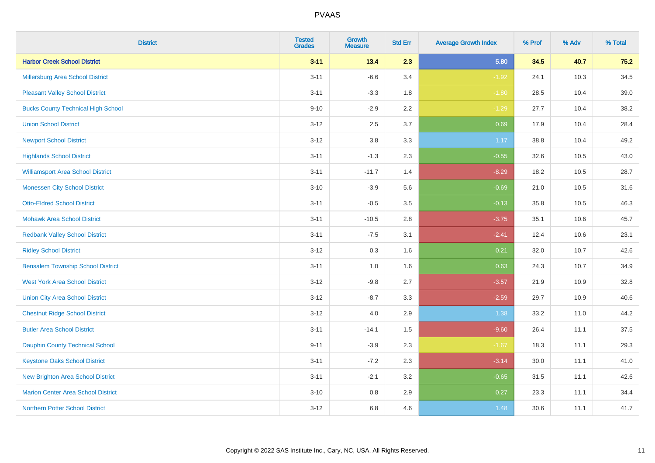| <b>District</b>                           | <b>Tested</b><br><b>Grades</b> | <b>Growth</b><br><b>Measure</b> | <b>Std Err</b> | <b>Average Growth Index</b> | % Prof | % Adv | % Total |
|-------------------------------------------|--------------------------------|---------------------------------|----------------|-----------------------------|--------|-------|---------|
| <b>Harbor Creek School District</b>       | $3 - 11$                       | 13.4                            | 2.3            | 5.80                        | 34.5   | 40.7  | $75.2$  |
| Millersburg Area School District          | $3 - 11$                       | $-6.6$                          | 3.4            | $-1.92$                     | 24.1   | 10.3  | 34.5    |
| <b>Pleasant Valley School District</b>    | $3 - 11$                       | $-3.3$                          | 1.8            | $-1.80$                     | 28.5   | 10.4  | 39.0    |
| <b>Bucks County Technical High School</b> | $9 - 10$                       | $-2.9$                          | 2.2            | $-1.29$                     | 27.7   | 10.4  | 38.2    |
| <b>Union School District</b>              | $3 - 12$                       | 2.5                             | 3.7            | 0.69                        | 17.9   | 10.4  | 28.4    |
| <b>Newport School District</b>            | $3 - 12$                       | 3.8                             | 3.3            | 1.17                        | 38.8   | 10.4  | 49.2    |
| <b>Highlands School District</b>          | $3 - 11$                       | $-1.3$                          | 2.3            | $-0.55$                     | 32.6   | 10.5  | 43.0    |
| <b>Williamsport Area School District</b>  | $3 - 11$                       | $-11.7$                         | 1.4            | $-8.29$                     | 18.2   | 10.5  | 28.7    |
| <b>Monessen City School District</b>      | $3 - 10$                       | $-3.9$                          | 5.6            | $-0.69$                     | 21.0   | 10.5  | 31.6    |
| <b>Otto-Eldred School District</b>        | $3 - 11$                       | $-0.5$                          | 3.5            | $-0.13$                     | 35.8   | 10.5  | 46.3    |
| <b>Mohawk Area School District</b>        | $3 - 11$                       | $-10.5$                         | 2.8            | $-3.75$                     | 35.1   | 10.6  | 45.7    |
| <b>Redbank Valley School District</b>     | $3 - 11$                       | $-7.5$                          | 3.1            | $-2.41$                     | 12.4   | 10.6  | 23.1    |
| <b>Ridley School District</b>             | $3 - 12$                       | 0.3                             | 1.6            | 0.21                        | 32.0   | 10.7  | 42.6    |
| <b>Bensalem Township School District</b>  | $3 - 11$                       | 1.0                             | 1.6            | 0.63                        | 24.3   | 10.7  | 34.9    |
| <b>West York Area School District</b>     | $3-12$                         | $-9.8$                          | 2.7            | $-3.57$                     | 21.9   | 10.9  | 32.8    |
| <b>Union City Area School District</b>    | $3-12$                         | $-8.7$                          | 3.3            | $-2.59$                     | 29.7   | 10.9  | 40.6    |
| <b>Chestnut Ridge School District</b>     | $3 - 12$                       | 4.0                             | 2.9            | 1.38                        | 33.2   | 11.0  | 44.2    |
| <b>Butler Area School District</b>        | $3 - 11$                       | $-14.1$                         | 1.5            | $-9.60$                     | 26.4   | 11.1  | 37.5    |
| <b>Dauphin County Technical School</b>    | $9 - 11$                       | $-3.9$                          | 2.3            | $-1.67$                     | 18.3   | 11.1  | 29.3    |
| <b>Keystone Oaks School District</b>      | $3 - 11$                       | $-7.2$                          | 2.3            | $-3.14$                     | 30.0   | 11.1  | 41.0    |
| New Brighton Area School District         | $3 - 11$                       | $-2.1$                          | 3.2            | $-0.65$                     | 31.5   | 11.1  | 42.6    |
| <b>Marion Center Area School District</b> | $3 - 10$                       | $0.8\,$                         | 2.9            | 0.27                        | 23.3   | 11.1  | 34.4    |
| Northern Potter School District           | $3 - 12$                       | 6.8                             | 4.6            | 1.48                        | 30.6   | 11.1  | 41.7    |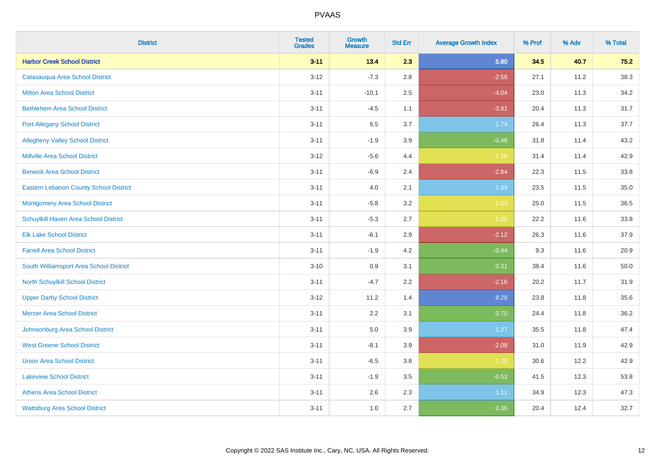| <b>District</b>                               | <b>Tested</b><br><b>Grades</b> | <b>Growth</b><br><b>Measure</b> | <b>Std Err</b> | <b>Average Growth Index</b> | % Prof | % Adv | % Total |
|-----------------------------------------------|--------------------------------|---------------------------------|----------------|-----------------------------|--------|-------|---------|
| <b>Harbor Creek School District</b>           | $3 - 11$                       | 13.4                            | 2.3            | 5.80                        | 34.5   | 40.7  | 75.2    |
| Catasauqua Area School District               | $3 - 12$                       | $-7.3$                          | 2.8            | $-2.58$                     | 27.1   | 11.2  | 38.3    |
| <b>Milton Area School District</b>            | $3 - 11$                       | $-10.1$                         | 2.5            | $-4.04$                     | 23.0   | 11.3  | 34.2    |
| <b>Bethlehem Area School District</b>         | $3 - 11$                       | $-4.5$                          | 1.1            | $-3.91$                     | 20.4   | 11.3  | 31.7    |
| <b>Port Allegany School District</b>          | $3 - 11$                       | 6.5                             | 3.7            | 1.74                        | 26.4   | 11.3  | 37.7    |
| <b>Allegheny Valley School District</b>       | $3 - 11$                       | $-1.9$                          | 3.9            | $-0.48$                     | 31.8   | 11.4  | 43.2    |
| <b>Millville Area School District</b>         | $3 - 12$                       | $-5.6$                          | 4.4            | $-1.26$                     | 31.4   | 11.4  | 42.9    |
| <b>Berwick Area School District</b>           | $3 - 11$                       | $-6.9$                          | 2.4            | $-2.84$                     | 22.3   | 11.5  | 33.8    |
| <b>Eastern Lebanon County School District</b> | $3 - 11$                       | 4.0                             | 2.1            | 1.89                        | 23.5   | 11.5  | 35.0    |
| <b>Montgomery Area School District</b>        | $3 - 11$                       | $-5.8$                          | 3.2            | $-1.83$                     | 25.0   | 11.5  | 36.5    |
| Schuylkill Haven Area School District         | $3 - 11$                       | $-5.3$                          | 2.7            | $-1.96$                     | 22.2   | 11.6  | 33.8    |
| <b>Elk Lake School District</b>               | $3 - 11$                       | $-6.1$                          | 2.9            | $-2.12$                     | 26.3   | 11.6  | 37.9    |
| <b>Farrell Area School District</b>           | $3 - 11$                       | $-1.9$                          | 4.2            | $-0.44$                     | 9.3    | 11.6  | 20.9    |
| South Williamsport Area School District       | $3 - 10$                       | 0.9                             | 3.1            | 0.31                        | 38.4   | 11.6  | 50.0    |
| North Schuylkill School District              | $3 - 11$                       | $-4.7$                          | 2.2            | $-2.16$                     | 20.2   | 11.7  | 31.9    |
| <b>Upper Darby School District</b>            | $3 - 12$                       | 11.2                            | 1.4            | 8.28                        | 23.8   | 11.8  | 35.6    |
| <b>Mercer Area School District</b>            | $3 - 11$                       | $2.2\,$                         | 3.1            | 0.70                        | 24.4   | 11.8  | 36.2    |
| Johnsonburg Area School District              | $3 - 11$                       | 5.0                             | 3.9            | 1.27                        | 35.5   | 11.8  | 47.4    |
| <b>West Greene School District</b>            | $3 - 11$                       | $-8.1$                          | 3.9            | $-2.08$                     | 31.0   | 11.9  | 42.9    |
| <b>Union Area School District</b>             | $3 - 11$                       | $-6.5$                          | 3.8            | $-1.70$                     | 30.6   | 12.2  | 42.9    |
| <b>Lakeview School District</b>               | $3 - 11$                       | $-1.9$                          | 3.5            | $-0.53$                     | 41.5   | 12.3  | 53.8    |
| <b>Athens Area School District</b>            | $3 - 11$                       | 2.6                             | 2.3            | 1.11                        | 34.9   | 12.3  | 47.3    |
| <b>Wattsburg Area School District</b>         | $3 - 11$                       | 1.0                             | 2.7            | 0.36                        | 20.4   | 12.4  | 32.7    |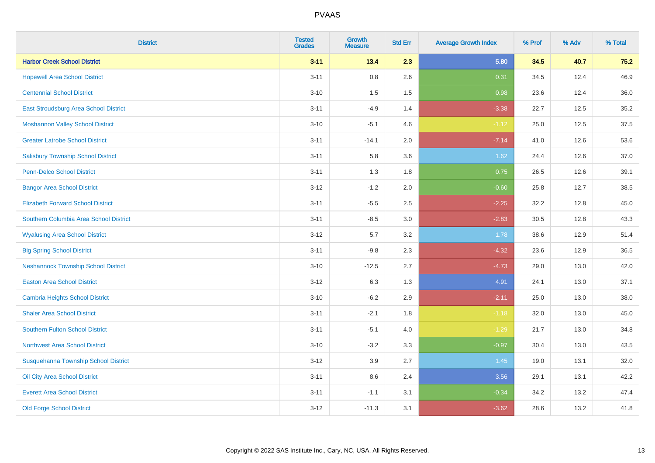| <b>District</b>                            | <b>Tested</b><br><b>Grades</b> | <b>Growth</b><br><b>Measure</b> | <b>Std Err</b> | <b>Average Growth Index</b> | % Prof | % Adv | % Total |
|--------------------------------------------|--------------------------------|---------------------------------|----------------|-----------------------------|--------|-------|---------|
| <b>Harbor Creek School District</b>        | $3 - 11$                       | 13.4                            | 2.3            | 5.80                        | 34.5   | 40.7  | 75.2    |
| <b>Hopewell Area School District</b>       | $3 - 11$                       | 0.8                             | 2.6            | 0.31                        | 34.5   | 12.4  | 46.9    |
| <b>Centennial School District</b>          | $3 - 10$                       | 1.5                             | 1.5            | 0.98                        | 23.6   | 12.4  | 36.0    |
| East Stroudsburg Area School District      | $3 - 11$                       | $-4.9$                          | 1.4            | $-3.38$                     | 22.7   | 12.5  | 35.2    |
| <b>Moshannon Valley School District</b>    | $3 - 10$                       | $-5.1$                          | 4.6            | $-1.12$                     | 25.0   | 12.5  | 37.5    |
| <b>Greater Latrobe School District</b>     | $3 - 11$                       | $-14.1$                         | 2.0            | $-7.14$                     | 41.0   | 12.6  | 53.6    |
| <b>Salisbury Township School District</b>  | $3 - 11$                       | 5.8                             | 3.6            | 1.62                        | 24.4   | 12.6  | 37.0    |
| <b>Penn-Delco School District</b>          | $3 - 11$                       | 1.3                             | 1.8            | 0.75                        | 26.5   | 12.6  | 39.1    |
| <b>Bangor Area School District</b>         | $3 - 12$                       | $-1.2$                          | 2.0            | $-0.60$                     | 25.8   | 12.7  | 38.5    |
| <b>Elizabeth Forward School District</b>   | $3 - 11$                       | $-5.5$                          | 2.5            | $-2.25$                     | 32.2   | 12.8  | 45.0    |
| Southern Columbia Area School District     | $3 - 11$                       | $-8.5$                          | 3.0            | $-2.83$                     | 30.5   | 12.8  | 43.3    |
| <b>Wyalusing Area School District</b>      | $3 - 12$                       | 5.7                             | 3.2            | 1.78                        | 38.6   | 12.9  | 51.4    |
| <b>Big Spring School District</b>          | $3 - 11$                       | $-9.8$                          | 2.3            | $-4.32$                     | 23.6   | 12.9  | 36.5    |
| <b>Neshannock Township School District</b> | $3 - 10$                       | $-12.5$                         | 2.7            | $-4.73$                     | 29.0   | 13.0  | 42.0    |
| <b>Easton Area School District</b>         | $3 - 12$                       | 6.3                             | 1.3            | 4.91                        | 24.1   | 13.0  | 37.1    |
| Cambria Heights School District            | $3 - 10$                       | $-6.2$                          | 2.9            | $-2.11$                     | 25.0   | 13.0  | 38.0    |
| <b>Shaler Area School District</b>         | $3 - 11$                       | $-2.1$                          | 1.8            | $-1.18$                     | 32.0   | 13.0  | 45.0    |
| <b>Southern Fulton School District</b>     | $3 - 11$                       | $-5.1$                          | 4.0            | $-1.29$                     | 21.7   | 13.0  | 34.8    |
| <b>Northwest Area School District</b>      | $3 - 10$                       | $-3.2$                          | 3.3            | $-0.97$                     | 30.4   | 13.0  | 43.5    |
| Susquehanna Township School District       | $3-12$                         | 3.9                             | 2.7            | 1.45                        | 19.0   | 13.1  | 32.0    |
| Oil City Area School District              | $3 - 11$                       | 8.6                             | 2.4            | 3.56                        | 29.1   | 13.1  | 42.2    |
| <b>Everett Area School District</b>        | $3 - 11$                       | $-1.1$                          | 3.1            | $-0.34$                     | 34.2   | 13.2  | 47.4    |
| <b>Old Forge School District</b>           | $3 - 12$                       | $-11.3$                         | 3.1            | $-3.62$                     | 28.6   | 13.2  | 41.8    |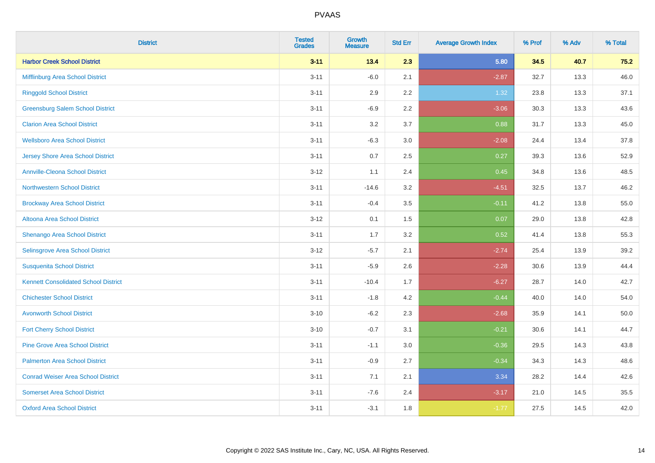| <b>District</b>                             | <b>Tested</b><br><b>Grades</b> | <b>Growth</b><br><b>Measure</b> | <b>Std Err</b> | <b>Average Growth Index</b> | % Prof | % Adv | % Total |
|---------------------------------------------|--------------------------------|---------------------------------|----------------|-----------------------------|--------|-------|---------|
| <b>Harbor Creek School District</b>         | $3 - 11$                       | 13.4                            | 2.3            | 5.80                        | 34.5   | 40.7  | 75.2    |
| Mifflinburg Area School District            | $3 - 11$                       | $-6.0$                          | 2.1            | $-2.87$                     | 32.7   | 13.3  | 46.0    |
| <b>Ringgold School District</b>             | $3 - 11$                       | 2.9                             | 2.2            | 1.32                        | 23.8   | 13.3  | 37.1    |
| <b>Greensburg Salem School District</b>     | $3 - 11$                       | $-6.9$                          | 2.2            | $-3.06$                     | 30.3   | 13.3  | 43.6    |
| <b>Clarion Area School District</b>         | $3 - 11$                       | 3.2                             | 3.7            | 0.88                        | 31.7   | 13.3  | 45.0    |
| <b>Wellsboro Area School District</b>       | $3 - 11$                       | $-6.3$                          | 3.0            | $-2.08$                     | 24.4   | 13.4  | 37.8    |
| <b>Jersey Shore Area School District</b>    | $3 - 11$                       | 0.7                             | 2.5            | 0.27                        | 39.3   | 13.6  | 52.9    |
| <b>Annville-Cleona School District</b>      | $3 - 12$                       | 1.1                             | 2.4            | 0.45                        | 34.8   | 13.6  | 48.5    |
| <b>Northwestern School District</b>         | $3 - 11$                       | $-14.6$                         | 3.2            | $-4.51$                     | 32.5   | 13.7  | 46.2    |
| <b>Brockway Area School District</b>        | $3 - 11$                       | $-0.4$                          | 3.5            | $-0.11$                     | 41.2   | 13.8  | 55.0    |
| Altoona Area School District                | $3 - 12$                       | 0.1                             | 1.5            | 0.07                        | 29.0   | 13.8  | 42.8    |
| Shenango Area School District               | $3 - 11$                       | 1.7                             | 3.2            | 0.52                        | 41.4   | 13.8  | 55.3    |
| Selinsgrove Area School District            | $3 - 12$                       | $-5.7$                          | 2.1            | $-2.74$                     | 25.4   | 13.9  | 39.2    |
| <b>Susquenita School District</b>           | $3 - 11$                       | $-5.9$                          | 2.6            | $-2.28$                     | 30.6   | 13.9  | 44.4    |
| <b>Kennett Consolidated School District</b> | $3 - 11$                       | $-10.4$                         | 1.7            | $-6.27$                     | 28.7   | 14.0  | 42.7    |
| <b>Chichester School District</b>           | $3 - 11$                       | $-1.8$                          | 4.2            | $-0.44$                     | 40.0   | 14.0  | 54.0    |
| <b>Avonworth School District</b>            | $3 - 10$                       | $-6.2$                          | 2.3            | $-2.68$                     | 35.9   | 14.1  | 50.0    |
| <b>Fort Cherry School District</b>          | $3 - 10$                       | $-0.7$                          | 3.1            | $-0.21$                     | 30.6   | 14.1  | 44.7    |
| <b>Pine Grove Area School District</b>      | $3 - 11$                       | $-1.1$                          | 3.0            | $-0.36$                     | 29.5   | 14.3  | 43.8    |
| <b>Palmerton Area School District</b>       | $3 - 11$                       | $-0.9$                          | 2.7            | $-0.34$                     | 34.3   | 14.3  | 48.6    |
| <b>Conrad Weiser Area School District</b>   | $3 - 11$                       | 7.1                             | 2.1            | 3.34                        | 28.2   | 14.4  | 42.6    |
| <b>Somerset Area School District</b>        | $3 - 11$                       | $-7.6$                          | 2.4            | $-3.17$                     | 21.0   | 14.5  | 35.5    |
| <b>Oxford Area School District</b>          | $3 - 11$                       | $-3.1$                          | 1.8            | $-1.77$                     | 27.5   | 14.5  | 42.0    |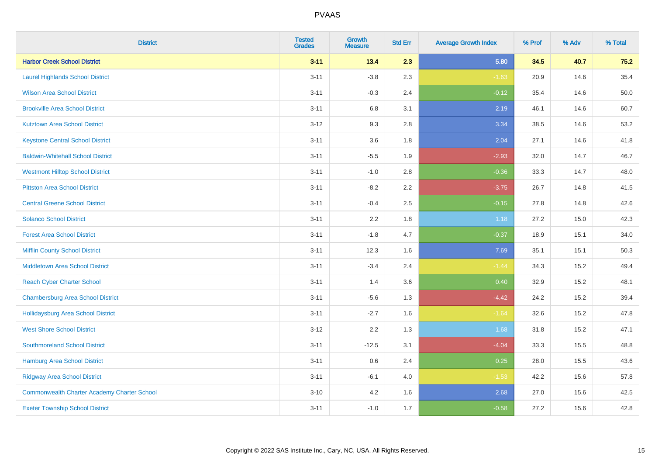| <b>District</b>                                    | <b>Tested</b><br><b>Grades</b> | <b>Growth</b><br><b>Measure</b> | <b>Std Err</b> | <b>Average Growth Index</b> | % Prof | % Adv | % Total |
|----------------------------------------------------|--------------------------------|---------------------------------|----------------|-----------------------------|--------|-------|---------|
| <b>Harbor Creek School District</b>                | $3 - 11$                       | 13.4                            | 2.3            | 5.80                        | 34.5   | 40.7  | 75.2    |
| <b>Laurel Highlands School District</b>            | $3 - 11$                       | $-3.8$                          | 2.3            | $-1.63$                     | 20.9   | 14.6  | 35.4    |
| <b>Wilson Area School District</b>                 | $3 - 11$                       | $-0.3$                          | 2.4            | $-0.12$                     | 35.4   | 14.6  | 50.0    |
| <b>Brookville Area School District</b>             | $3 - 11$                       | $6.8\,$                         | 3.1            | 2.19                        | 46.1   | 14.6  | 60.7    |
| <b>Kutztown Area School District</b>               | $3 - 12$                       | 9.3                             | 2.8            | 3.34                        | 38.5   | 14.6  | 53.2    |
| <b>Keystone Central School District</b>            | $3 - 11$                       | 3.6                             | 1.8            | 2.04                        | 27.1   | 14.6  | 41.8    |
| <b>Baldwin-Whitehall School District</b>           | $3 - 11$                       | $-5.5$                          | 1.9            | $-2.93$                     | 32.0   | 14.7  | 46.7    |
| <b>Westmont Hilltop School District</b>            | $3 - 11$                       | $-1.0$                          | 2.8            | $-0.36$                     | 33.3   | 14.7  | 48.0    |
| <b>Pittston Area School District</b>               | $3 - 11$                       | $-8.2$                          | 2.2            | $-3.75$                     | 26.7   | 14.8  | 41.5    |
| <b>Central Greene School District</b>              | $3 - 11$                       | $-0.4$                          | 2.5            | $-0.15$                     | 27.8   | 14.8  | 42.6    |
| <b>Solanco School District</b>                     | $3 - 11$                       | 2.2                             | 1.8            | 1.18                        | 27.2   | 15.0  | 42.3    |
| <b>Forest Area School District</b>                 | $3 - 11$                       | $-1.8$                          | 4.7            | $-0.37$                     | 18.9   | 15.1  | 34.0    |
| <b>Mifflin County School District</b>              | $3 - 11$                       | 12.3                            | 1.6            | 7.69                        | 35.1   | 15.1  | 50.3    |
| <b>Middletown Area School District</b>             | $3 - 11$                       | $-3.4$                          | 2.4            | $-1.44$                     | 34.3   | 15.2  | 49.4    |
| <b>Reach Cyber Charter School</b>                  | $3 - 11$                       | 1.4                             | 3.6            | 0.40                        | 32.9   | 15.2  | 48.1    |
| <b>Chambersburg Area School District</b>           | $3 - 11$                       | $-5.6$                          | 1.3            | $-4.42$                     | 24.2   | 15.2  | 39.4    |
| Hollidaysburg Area School District                 | $3 - 11$                       | $-2.7$                          | 1.6            | $-1.64$                     | 32.6   | 15.2  | 47.8    |
| <b>West Shore School District</b>                  | $3 - 12$                       | 2.2                             | 1.3            | 1.68                        | 31.8   | 15.2  | 47.1    |
| <b>Southmoreland School District</b>               | $3 - 11$                       | $-12.5$                         | 3.1            | $-4.04$                     | 33.3   | 15.5  | 48.8    |
| <b>Hamburg Area School District</b>                | $3 - 11$                       | 0.6                             | 2.4            | 0.25                        | 28.0   | 15.5  | 43.6    |
| <b>Ridgway Area School District</b>                | $3 - 11$                       | $-6.1$                          | 4.0            | $-1.53$                     | 42.2   | 15.6  | 57.8    |
| <b>Commonwealth Charter Academy Charter School</b> | $3 - 10$                       | 4.2                             | 1.6            | 2.68                        | 27.0   | 15.6  | 42.5    |
| <b>Exeter Township School District</b>             | $3 - 11$                       | $-1.0$                          | 1.7            | $-0.58$                     | 27.2   | 15.6  | 42.8    |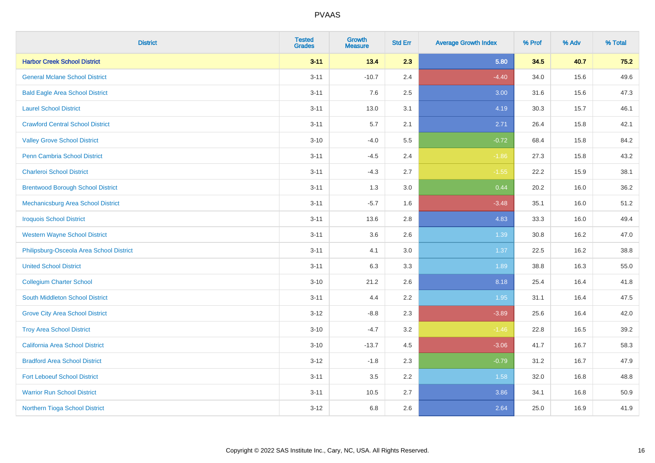| <b>District</b>                          | <b>Tested</b><br><b>Grades</b> | <b>Growth</b><br><b>Measure</b> | <b>Std Err</b> | <b>Average Growth Index</b> | % Prof | % Adv | % Total |
|------------------------------------------|--------------------------------|---------------------------------|----------------|-----------------------------|--------|-------|---------|
| <b>Harbor Creek School District</b>      | $3 - 11$                       | 13.4                            | 2.3            | 5.80                        | 34.5   | 40.7  | 75.2    |
| <b>General Mclane School District</b>    | $3 - 11$                       | $-10.7$                         | 2.4            | $-4.40$                     | 34.0   | 15.6  | 49.6    |
| <b>Bald Eagle Area School District</b>   | $3 - 11$                       | 7.6                             | 2.5            | 3.00                        | 31.6   | 15.6  | 47.3    |
| <b>Laurel School District</b>            | $3 - 11$                       | 13.0                            | 3.1            | 4.19                        | 30.3   | 15.7  | 46.1    |
| <b>Crawford Central School District</b>  | $3 - 11$                       | 5.7                             | 2.1            | 2.71                        | 26.4   | 15.8  | 42.1    |
| <b>Valley Grove School District</b>      | $3 - 10$                       | $-4.0$                          | 5.5            | $-0.72$                     | 68.4   | 15.8  | 84.2    |
| <b>Penn Cambria School District</b>      | $3 - 11$                       | $-4.5$                          | 2.4            | $-1.86$                     | 27.3   | 15.8  | 43.2    |
| <b>Charleroi School District</b>         | $3 - 11$                       | $-4.3$                          | 2.7            | $-1.55$                     | 22.2   | 15.9  | 38.1    |
| <b>Brentwood Borough School District</b> | $3 - 11$                       | 1.3                             | 3.0            | 0.44                        | 20.2   | 16.0  | 36.2    |
| Mechanicsburg Area School District       | $3 - 11$                       | $-5.7$                          | 1.6            | $-3.48$                     | 35.1   | 16.0  | 51.2    |
| <b>Iroquois School District</b>          | $3 - 11$                       | 13.6                            | 2.8            | 4.83                        | 33.3   | 16.0  | 49.4    |
| <b>Western Wayne School District</b>     | $3 - 11$                       | 3.6                             | 2.6            | 1.39                        | 30.8   | 16.2  | 47.0    |
| Philipsburg-Osceola Area School District | $3 - 11$                       | 4.1                             | 3.0            | 1.37                        | 22.5   | 16.2  | 38.8    |
| <b>United School District</b>            | $3 - 11$                       | 6.3                             | 3.3            | 1.89                        | 38.8   | 16.3  | 55.0    |
| <b>Collegium Charter School</b>          | $3 - 10$                       | 21.2                            | 2.6            | 8.18                        | 25.4   | 16.4  | 41.8    |
| South Middleton School District          | $3 - 11$                       | 4.4                             | 2.2            | 1.95                        | 31.1   | 16.4  | 47.5    |
| <b>Grove City Area School District</b>   | $3 - 12$                       | $-8.8$                          | 2.3            | $-3.89$                     | 25.6   | 16.4  | 42.0    |
| <b>Troy Area School District</b>         | $3 - 10$                       | $-4.7$                          | 3.2            | $-1.46$                     | 22.8   | 16.5  | 39.2    |
| <b>California Area School District</b>   | $3 - 10$                       | $-13.7$                         | 4.5            | $-3.06$                     | 41.7   | 16.7  | 58.3    |
| <b>Bradford Area School District</b>     | $3 - 12$                       | $-1.8$                          | 2.3            | $-0.79$                     | 31.2   | 16.7  | 47.9    |
| <b>Fort Leboeuf School District</b>      | $3 - 11$                       | 3.5                             | 2.2            | 1.58                        | 32.0   | 16.8  | 48.8    |
| <b>Warrior Run School District</b>       | $3 - 11$                       | 10.5                            | 2.7            | 3.86                        | 34.1   | 16.8  | 50.9    |
| Northern Tioga School District           | $3 - 12$                       | 6.8                             | 2.6            | 2.64                        | 25.0   | 16.9  | 41.9    |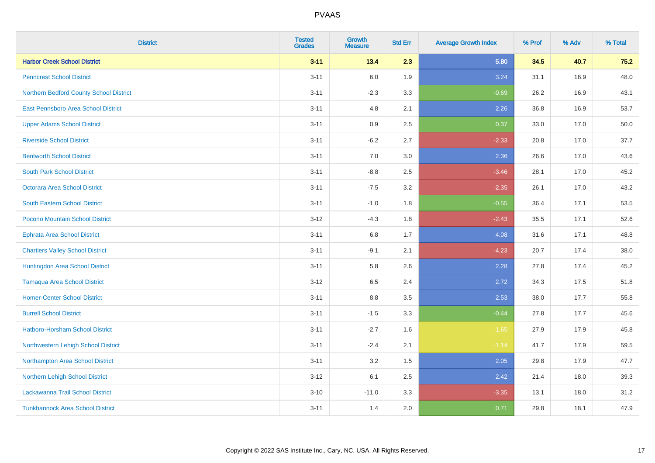| <b>District</b>                         | <b>Tested</b><br><b>Grades</b> | <b>Growth</b><br><b>Measure</b> | <b>Std Err</b> | <b>Average Growth Index</b> | % Prof | % Adv | % Total |
|-----------------------------------------|--------------------------------|---------------------------------|----------------|-----------------------------|--------|-------|---------|
| <b>Harbor Creek School District</b>     | $3 - 11$                       | 13.4                            | 2.3            | 5.80                        | 34.5   | 40.7  | 75.2    |
| <b>Penncrest School District</b>        | $3 - 11$                       | 6.0                             | 1.9            | 3.24                        | 31.1   | 16.9  | 48.0    |
| Northern Bedford County School District | $3 - 11$                       | $-2.3$                          | 3.3            | $-0.69$                     | 26.2   | 16.9  | 43.1    |
| East Pennsboro Area School District     | $3 - 11$                       | 4.8                             | 2.1            | 2.26                        | 36.8   | 16.9  | 53.7    |
| <b>Upper Adams School District</b>      | $3 - 11$                       | 0.9                             | 2.5            | 0.37                        | 33.0   | 17.0  | 50.0    |
| <b>Riverside School District</b>        | $3 - 11$                       | $-6.2$                          | 2.7            | $-2.33$                     | 20.8   | 17.0  | 37.7    |
| <b>Bentworth School District</b>        | $3 - 11$                       | 7.0                             | $3.0\,$        | 2.36                        | 26.6   | 17.0  | 43.6    |
| <b>South Park School District</b>       | $3 - 11$                       | $-8.8$                          | 2.5            | $-3.46$                     | 28.1   | 17.0  | 45.2    |
| <b>Octorara Area School District</b>    | $3 - 11$                       | $-7.5$                          | 3.2            | $-2.35$                     | 26.1   | 17.0  | 43.2    |
| <b>South Eastern School District</b>    | $3 - 11$                       | $-1.0$                          | 1.8            | $-0.55$                     | 36.4   | 17.1  | 53.5    |
| Pocono Mountain School District         | $3 - 12$                       | $-4.3$                          | 1.8            | $-2.43$                     | 35.5   | 17.1  | 52.6    |
| Ephrata Area School District            | $3 - 11$                       | 6.8                             | 1.7            | 4.08                        | 31.6   | 17.1  | 48.8    |
| <b>Chartiers Valley School District</b> | $3 - 11$                       | $-9.1$                          | 2.1            | $-4.23$                     | 20.7   | 17.4  | 38.0    |
| Huntingdon Area School District         | $3 - 11$                       | 5.8                             | 2.6            | 2.28                        | 27.8   | 17.4  | 45.2    |
| <b>Tamaqua Area School District</b>     | $3 - 12$                       | 6.5                             | 2.4            | 2.72                        | 34.3   | 17.5  | 51.8    |
| <b>Homer-Center School District</b>     | $3 - 11$                       | 8.8                             | 3.5            | 2.53                        | 38.0   | 17.7  | 55.8    |
| <b>Burrell School District</b>          | $3 - 11$                       | $-1.5$                          | 3.3            | $-0.44$                     | 27.8   | 17.7  | 45.6    |
| Hatboro-Horsham School District         | $3 - 11$                       | $-2.7$                          | 1.6            | $-1.65$                     | 27.9   | 17.9  | 45.8    |
| Northwestern Lehigh School District     | $3 - 11$                       | $-2.4$                          | 2.1            | $-1.14$                     | 41.7   | 17.9  | 59.5    |
| Northampton Area School District        | $3 - 11$                       | 3.2                             | 1.5            | 2.05                        | 29.8   | 17.9  | 47.7    |
| Northern Lehigh School District         | $3-12$                         | 6.1                             | 2.5            | 2.42                        | 21.4   | 18.0  | 39.3    |
| Lackawanna Trail School District        | $3 - 10$                       | $-11.0$                         | 3.3            | $-3.35$                     | 13.1   | 18.0  | 31.2    |
| <b>Tunkhannock Area School District</b> | $3 - 11$                       | 1.4                             | 2.0            | 0.71                        | 29.8   | 18.1  | 47.9    |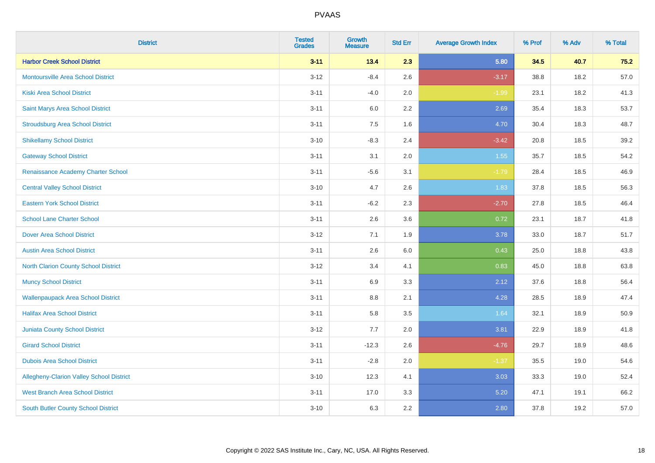| <b>District</b>                                 | <b>Tested</b><br><b>Grades</b> | <b>Growth</b><br><b>Measure</b> | <b>Std Err</b> | <b>Average Growth Index</b> | % Prof | % Adv | % Total |
|-------------------------------------------------|--------------------------------|---------------------------------|----------------|-----------------------------|--------|-------|---------|
| <b>Harbor Creek School District</b>             | $3 - 11$                       | 13.4                            | 2.3            | 5.80                        | 34.5   | 40.7  | 75.2    |
| <b>Montoursville Area School District</b>       | $3 - 12$                       | $-8.4$                          | 2.6            | $-3.17$                     | 38.8   | 18.2  | 57.0    |
| <b>Kiski Area School District</b>               | $3 - 11$                       | $-4.0$                          | 2.0            | $-1.99$                     | 23.1   | 18.2  | 41.3    |
| Saint Marys Area School District                | $3 - 11$                       | 6.0                             | 2.2            | 2.69                        | 35.4   | 18.3  | 53.7    |
| <b>Stroudsburg Area School District</b>         | $3 - 11$                       | 7.5                             | 1.6            | 4.70                        | 30.4   | 18.3  | 48.7    |
| <b>Shikellamy School District</b>               | $3 - 10$                       | $-8.3$                          | 2.4            | $-3.42$                     | 20.8   | 18.5  | 39.2    |
| <b>Gateway School District</b>                  | $3 - 11$                       | 3.1                             | 2.0            | 1.55                        | 35.7   | 18.5  | 54.2    |
| Renaissance Academy Charter School              | $3 - 11$                       | $-5.6$                          | 3.1            | $-1.79$                     | 28.4   | 18.5  | 46.9    |
| <b>Central Valley School District</b>           | $3 - 10$                       | 4.7                             | 2.6            | 1.83                        | 37.8   | 18.5  | 56.3    |
| <b>Eastern York School District</b>             | $3 - 11$                       | $-6.2$                          | 2.3            | $-2.70$                     | 27.8   | 18.5  | 46.4    |
| <b>School Lane Charter School</b>               | $3 - 11$                       | 2.6                             | 3.6            | 0.72                        | 23.1   | 18.7  | 41.8    |
| <b>Dover Area School District</b>               | $3 - 12$                       | 7.1                             | 1.9            | 3.78                        | 33.0   | 18.7  | 51.7    |
| <b>Austin Area School District</b>              | $3 - 11$                       | 2.6                             | 6.0            | 0.43                        | 25.0   | 18.8  | 43.8    |
| <b>North Clarion County School District</b>     | $3 - 12$                       | 3.4                             | 4.1            | 0.83                        | 45.0   | 18.8  | 63.8    |
| <b>Muncy School District</b>                    | $3 - 11$                       | 6.9                             | 3.3            | 2.12                        | 37.6   | 18.8  | 56.4    |
| <b>Wallenpaupack Area School District</b>       | $3 - 11$                       | 8.8                             | 2.1            | 4.28                        | 28.5   | 18.9  | 47.4    |
| <b>Halifax Area School District</b>             | $3 - 11$                       | 5.8                             | 3.5            | 1.64                        | 32.1   | 18.9  | 50.9    |
| Juniata County School District                  | $3 - 12$                       | 7.7                             | 2.0            | 3.81                        | 22.9   | 18.9  | 41.8    |
| <b>Girard School District</b>                   | $3 - 11$                       | $-12.3$                         | 2.6            | $-4.76$                     | 29.7   | 18.9  | 48.6    |
| <b>Dubois Area School District</b>              | $3 - 11$                       | $-2.8$                          | 2.0            | $-1.37$                     | 35.5   | 19.0  | 54.6    |
| <b>Allegheny-Clarion Valley School District</b> | $3 - 10$                       | 12.3                            | 4.1            | 3.03                        | 33.3   | 19.0  | 52.4    |
| <b>West Branch Area School District</b>         | $3 - 11$                       | 17.0                            | 3.3            | 5.20                        | 47.1   | 19.1  | 66.2    |
| South Butler County School District             | $3 - 10$                       | 6.3                             | 2.2            | 2.80                        | 37.8   | 19.2  | 57.0    |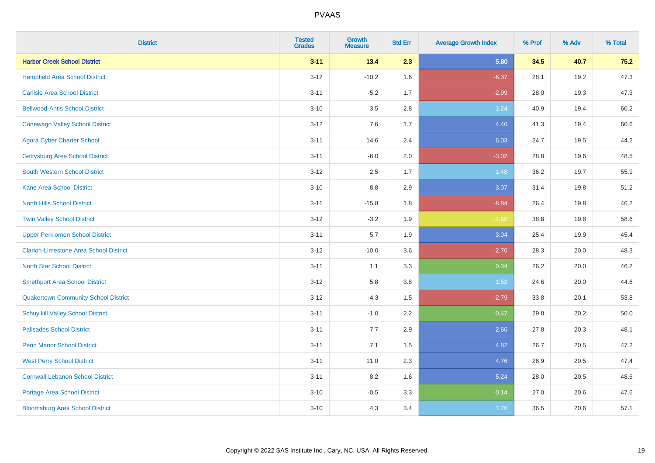| <b>District</b>                               | <b>Tested</b><br><b>Grades</b> | <b>Growth</b><br><b>Measure</b> | <b>Std Err</b> | <b>Average Growth Index</b> | % Prof | % Adv | % Total |
|-----------------------------------------------|--------------------------------|---------------------------------|----------------|-----------------------------|--------|-------|---------|
| <b>Harbor Creek School District</b>           | $3 - 11$                       | 13.4                            | 2.3            | 5.80                        | 34.5   | 40.7  | 75.2    |
| <b>Hempfield Area School District</b>         | $3 - 12$                       | $-10.2$                         | 1.6            | $-6.37$                     | 28.1   | 19.2  | 47.3    |
| <b>Carlisle Area School District</b>          | $3 - 11$                       | $-5.2$                          | 1.7            | $-2.99$                     | 28.0   | 19.3  | 47.3    |
| <b>Bellwood-Antis School District</b>         | $3 - 10$                       | 3.5                             | 2.8            | 1.24                        | 40.9   | 19.4  | 60.2    |
| <b>Conewago Valley School District</b>        | $3 - 12$                       | 7.6                             | 1.7            | 4.46                        | 41.3   | 19.4  | 60.6    |
| <b>Agora Cyber Charter School</b>             | $3 - 11$                       | 14.6                            | 2.4            | 6.03                        | 24.7   | 19.5  | 44.2    |
| <b>Gettysburg Area School District</b>        | $3 - 11$                       | $-6.0$                          | 2.0            | $-3.02$                     | 28.8   | 19.6  | 48.5    |
| <b>South Western School District</b>          | $3 - 12$                       | 2.5                             | 1.7            | 1.48                        | 36.2   | 19.7  | 55.9    |
| <b>Kane Area School District</b>              | $3 - 10$                       | 8.8                             | 2.9            | 3.07                        | 31.4   | 19.8  | 51.2    |
| <b>North Hills School District</b>            | $3 - 11$                       | $-15.8$                         | 1.8            | $-8.84$                     | 26.4   | 19.8  | 46.2    |
| <b>Twin Valley School District</b>            | $3 - 12$                       | $-3.2$                          | 1.9            | $-1.68$                     | 38.8   | 19.8  | 58.6    |
| <b>Upper Perkiomen School District</b>        | $3 - 11$                       | 5.7                             | 1.9            | 3.04                        | 25.4   | 19.9  | 45.4    |
| <b>Clarion-Limestone Area School District</b> | $3 - 12$                       | $-10.0$                         | 3.6            | $-2.76$                     | 28.3   | 20.0  | 48.3    |
| <b>North Star School District</b>             | $3 - 11$                       | 1.1                             | 3.3            | 0.34                        | 26.2   | 20.0  | 46.2    |
| <b>Smethport Area School District</b>         | $3 - 12$                       | 5.8                             | 3.8            | 1.52                        | 24.6   | 20.0  | 44.6    |
| <b>Quakertown Community School District</b>   | $3 - 12$                       | $-4.3$                          | 1.5            | $-2.79$                     | 33.8   | 20.1  | 53.8    |
| <b>Schuylkill Valley School District</b>      | $3 - 11$                       | $-1.0$                          | 2.2            | $-0.47$                     | 29.8   | 20.2  | 50.0    |
| <b>Palisades School District</b>              | $3 - 11$                       | 7.7                             | 2.9            | 2.66                        | 27.8   | 20.3  | 48.1    |
| <b>Penn Manor School District</b>             | $3 - 11$                       | 7.1                             | 1.5            | 4.82                        | 26.7   | 20.5  | 47.2    |
| <b>West Perry School District</b>             | $3 - 11$                       | 11.0                            | 2.3            | 4.76                        | 26.9   | 20.5  | 47.4    |
| <b>Cornwall-Lebanon School District</b>       | $3 - 11$                       | 8.2                             | 1.6            | 5.24                        | 28.0   | 20.5  | 48.6    |
| <b>Portage Area School District</b>           | $3 - 10$                       | $-0.5$                          | 3.3            | $-0.14$                     | 27.0   | 20.6  | 47.6    |
| <b>Bloomsburg Area School District</b>        | $3 - 10$                       | 4.3                             | 3.4            | 1.26                        | 36.5   | 20.6  | 57.1    |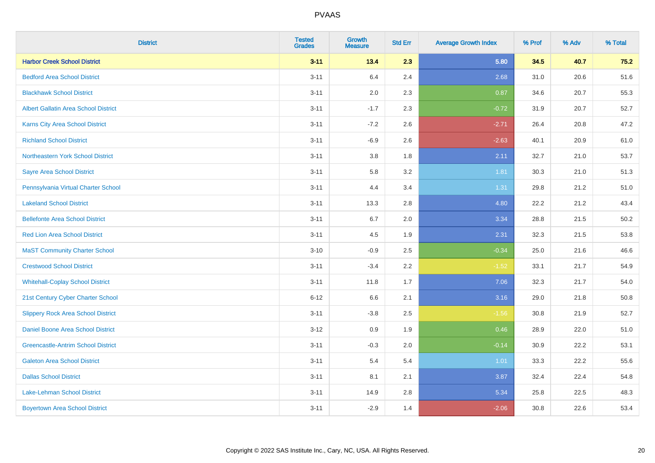| <b>District</b>                             | <b>Tested</b><br><b>Grades</b> | <b>Growth</b><br><b>Measure</b> | <b>Std Err</b> | <b>Average Growth Index</b> | % Prof | % Adv | % Total |
|---------------------------------------------|--------------------------------|---------------------------------|----------------|-----------------------------|--------|-------|---------|
| <b>Harbor Creek School District</b>         | $3 - 11$                       | 13.4                            | 2.3            | 5.80                        | 34.5   | 40.7  | 75.2    |
| <b>Bedford Area School District</b>         | $3 - 11$                       | 6.4                             | 2.4            | 2.68                        | 31.0   | 20.6  | 51.6    |
| <b>Blackhawk School District</b>            | $3 - 11$                       | 2.0                             | 2.3            | 0.87                        | 34.6   | 20.7  | 55.3    |
| <b>Albert Gallatin Area School District</b> | $3 - 11$                       | $-1.7$                          | 2.3            | $-0.72$                     | 31.9   | 20.7  | 52.7    |
| <b>Karns City Area School District</b>      | $3 - 11$                       | $-7.2$                          | 2.6            | $-2.71$                     | 26.4   | 20.8  | 47.2    |
| <b>Richland School District</b>             | $3 - 11$                       | $-6.9$                          | 2.6            | $-2.63$                     | 40.1   | 20.9  | 61.0    |
| Northeastern York School District           | $3 - 11$                       | 3.8                             | 1.8            | 2.11                        | 32.7   | 21.0  | 53.7    |
| <b>Sayre Area School District</b>           | $3 - 11$                       | 5.8                             | 3.2            | 1.81                        | 30.3   | 21.0  | 51.3    |
| Pennsylvania Virtual Charter School         | $3 - 11$                       | 4.4                             | 3.4            | 1.31                        | 29.8   | 21.2  | 51.0    |
| <b>Lakeland School District</b>             | $3 - 11$                       | 13.3                            | 2.8            | 4.80                        | 22.2   | 21.2  | 43.4    |
| <b>Bellefonte Area School District</b>      | $3 - 11$                       | 6.7                             | 2.0            | 3.34                        | 28.8   | 21.5  | 50.2    |
| <b>Red Lion Area School District</b>        | $3 - 11$                       | 4.5                             | 1.9            | 2.31                        | 32.3   | 21.5  | 53.8    |
| <b>MaST Community Charter School</b>        | $3 - 10$                       | $-0.9$                          | 2.5            | $-0.34$                     | 25.0   | 21.6  | 46.6    |
| <b>Crestwood School District</b>            | $3 - 11$                       | $-3.4$                          | 2.2            | $-1.52$                     | 33.1   | 21.7  | 54.9    |
| <b>Whitehall-Coplay School District</b>     | $3 - 11$                       | 11.8                            | 1.7            | 7.06                        | 32.3   | 21.7  | 54.0    |
| 21st Century Cyber Charter School           | $6 - 12$                       | 6.6                             | 2.1            | 3.16                        | 29.0   | 21.8  | 50.8    |
| <b>Slippery Rock Area School District</b>   | $3 - 11$                       | $-3.8$                          | 2.5            | $-1.56$                     | 30.8   | 21.9  | 52.7    |
| Daniel Boone Area School District           | $3-12$                         | 0.9                             | 1.9            | 0.46                        | 28.9   | 22.0  | 51.0    |
| <b>Greencastle-Antrim School District</b>   | $3 - 11$                       | $-0.3$                          | 2.0            | $-0.14$                     | 30.9   | 22.2  | 53.1    |
| <b>Galeton Area School District</b>         | $3 - 11$                       | 5.4                             | 5.4            | 1.01                        | 33.3   | 22.2  | 55.6    |
| <b>Dallas School District</b>               | $3 - 11$                       | 8.1                             | 2.1            | 3.87                        | 32.4   | 22.4  | 54.8    |
| Lake-Lehman School District                 | $3 - 11$                       | 14.9                            | 2.8            | 5.34                        | 25.8   | 22.5  | 48.3    |
| <b>Boyertown Area School District</b>       | $3 - 11$                       | $-2.9$                          | 1.4            | $-2.06$                     | 30.8   | 22.6  | 53.4    |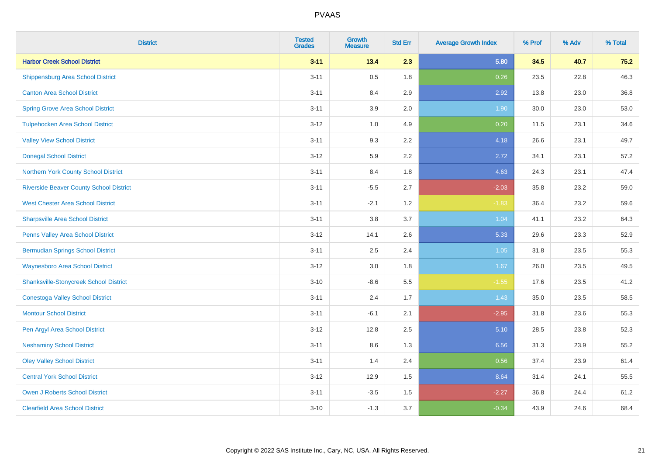| <b>District</b>                                | <b>Tested</b><br><b>Grades</b> | <b>Growth</b><br><b>Measure</b> | <b>Std Err</b> | <b>Average Growth Index</b> | % Prof | % Adv | % Total |
|------------------------------------------------|--------------------------------|---------------------------------|----------------|-----------------------------|--------|-------|---------|
| <b>Harbor Creek School District</b>            | $3 - 11$                       | 13.4                            | 2.3            | 5.80                        | 34.5   | 40.7  | 75.2    |
| <b>Shippensburg Area School District</b>       | $3 - 11$                       | 0.5                             | 1.8            | 0.26                        | 23.5   | 22.8  | 46.3    |
| <b>Canton Area School District</b>             | $3 - 11$                       | 8.4                             | 2.9            | 2.92                        | 13.8   | 23.0  | 36.8    |
| <b>Spring Grove Area School District</b>       | $3 - 11$                       | 3.9                             | 2.0            | 1.90                        | 30.0   | 23.0  | 53.0    |
| <b>Tulpehocken Area School District</b>        | $3 - 12$                       | 1.0                             | 4.9            | 0.20                        | 11.5   | 23.1  | 34.6    |
| <b>Valley View School District</b>             | $3 - 11$                       | 9.3                             | 2.2            | 4.18                        | 26.6   | 23.1  | 49.7    |
| <b>Donegal School District</b>                 | $3-12$                         | 5.9                             | 2.2            | 2.72                        | 34.1   | 23.1  | 57.2    |
| Northern York County School District           | $3 - 11$                       | 8.4                             | 1.8            | 4.63                        | 24.3   | 23.1  | 47.4    |
| <b>Riverside Beaver County School District</b> | $3 - 11$                       | $-5.5$                          | 2.7            | $-2.03$                     | 35.8   | 23.2  | 59.0    |
| <b>West Chester Area School District</b>       | $3 - 11$                       | $-2.1$                          | 1.2            | $-1.83$                     | 36.4   | 23.2  | 59.6    |
| <b>Sharpsville Area School District</b>        | $3 - 11$                       | 3.8                             | 3.7            | 1.04                        | 41.1   | 23.2  | 64.3    |
| Penns Valley Area School District              | $3 - 12$                       | 14.1                            | 2.6            | 5.33                        | 29.6   | 23.3  | 52.9    |
| <b>Bermudian Springs School District</b>       | $3 - 11$                       | 2.5                             | 2.4            | 1.05                        | 31.8   | 23.5  | 55.3    |
| <b>Waynesboro Area School District</b>         | $3-12$                         | 3.0                             | 1.8            | 1.67                        | 26.0   | 23.5  | 49.5    |
| <b>Shanksville-Stonycreek School District</b>  | $3 - 10$                       | $-8.6$                          | 5.5            | $-1.55$                     | 17.6   | 23.5  | 41.2    |
| <b>Conestoga Valley School District</b>        | $3 - 11$                       | 2.4                             | 1.7            | 1.43                        | 35.0   | 23.5  | 58.5    |
| <b>Montour School District</b>                 | $3 - 11$                       | $-6.1$                          | 2.1            | $-2.95$                     | 31.8   | 23.6  | 55.3    |
| Pen Argyl Area School District                 | $3 - 12$                       | 12.8                            | 2.5            | 5.10                        | 28.5   | 23.8  | 52.3    |
| <b>Neshaminy School District</b>               | $3 - 11$                       | 8.6                             | 1.3            | 6.56                        | 31.3   | 23.9  | 55.2    |
| <b>Oley Valley School District</b>             | $3 - 11$                       | 1.4                             | 2.4            | 0.56                        | 37.4   | 23.9  | 61.4    |
| <b>Central York School District</b>            | $3-12$                         | 12.9                            | 1.5            | 8.64                        | 31.4   | 24.1  | 55.5    |
| <b>Owen J Roberts School District</b>          | $3 - 11$                       | $-3.5$                          | 1.5            | $-2.27$                     | 36.8   | 24.4  | 61.2    |
| <b>Clearfield Area School District</b>         | $3 - 10$                       | $-1.3$                          | 3.7            | $-0.34$                     | 43.9   | 24.6  | 68.4    |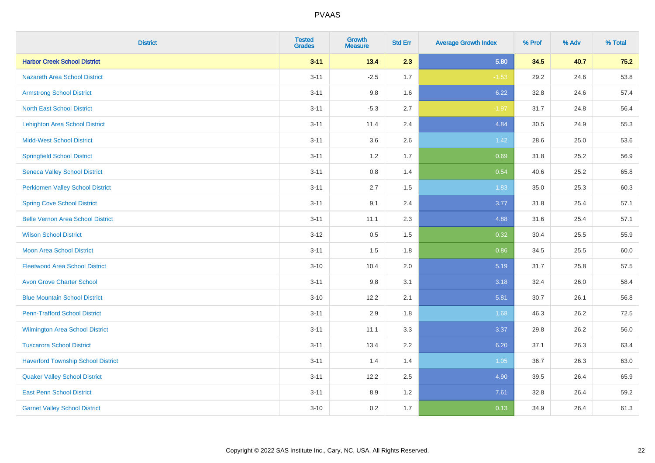| <b>District</b>                           | <b>Tested</b><br><b>Grades</b> | <b>Growth</b><br><b>Measure</b> | <b>Std Err</b> | <b>Average Growth Index</b> | % Prof | % Adv | % Total |
|-------------------------------------------|--------------------------------|---------------------------------|----------------|-----------------------------|--------|-------|---------|
| <b>Harbor Creek School District</b>       | $3 - 11$                       | 13.4                            | 2.3            | 5.80                        | 34.5   | 40.7  | 75.2    |
| <b>Nazareth Area School District</b>      | $3 - 11$                       | $-2.5$                          | 1.7            | $-1.53$                     | 29.2   | 24.6  | 53.8    |
| <b>Armstrong School District</b>          | $3 - 11$                       | 9.8                             | 1.6            | 6.22                        | 32.8   | 24.6  | 57.4    |
| <b>North East School District</b>         | $3 - 11$                       | $-5.3$                          | 2.7            | $-1.97$                     | 31.7   | 24.8  | 56.4    |
| <b>Lehighton Area School District</b>     | $3 - 11$                       | 11.4                            | 2.4            | 4.84                        | 30.5   | 24.9  | 55.3    |
| <b>Midd-West School District</b>          | $3 - 11$                       | 3.6                             | 2.6            | 1.42                        | 28.6   | 25.0  | 53.6    |
| <b>Springfield School District</b>        | $3 - 11$                       | $1.2$                           | 1.7            | 0.69                        | 31.8   | 25.2  | 56.9    |
| <b>Seneca Valley School District</b>      | $3 - 11$                       | 0.8                             | 1.4            | 0.54                        | 40.6   | 25.2  | 65.8    |
| <b>Perkiomen Valley School District</b>   | $3 - 11$                       | 2.7                             | 1.5            | 1.83                        | 35.0   | 25.3  | 60.3    |
| <b>Spring Cove School District</b>        | $3 - 11$                       | 9.1                             | 2.4            | 3.77                        | 31.8   | 25.4  | 57.1    |
| <b>Belle Vernon Area School District</b>  | $3 - 11$                       | 11.1                            | 2.3            | 4.88                        | 31.6   | 25.4  | 57.1    |
| <b>Wilson School District</b>             | $3 - 12$                       | 0.5                             | 1.5            | 0.32                        | 30.4   | 25.5  | 55.9    |
| Moon Area School District                 | $3 - 11$                       | 1.5                             | 1.8            | 0.86                        | 34.5   | 25.5  | 60.0    |
| <b>Fleetwood Area School District</b>     | $3 - 10$                       | 10.4                            | 2.0            | 5.19                        | 31.7   | 25.8  | 57.5    |
| <b>Avon Grove Charter School</b>          | $3 - 11$                       | 9.8                             | 3.1            | 3.18                        | 32.4   | 26.0  | 58.4    |
| <b>Blue Mountain School District</b>      | $3 - 10$                       | 12.2                            | 2.1            | 5.81                        | 30.7   | 26.1  | 56.8    |
| <b>Penn-Trafford School District</b>      | $3 - 11$                       | 2.9                             | 1.8            | 1.68                        | 46.3   | 26.2  | 72.5    |
| Wilmington Area School District           | $3 - 11$                       | 11.1                            | 3.3            | 3.37                        | 29.8   | 26.2  | 56.0    |
| <b>Tuscarora School District</b>          | $3 - 11$                       | 13.4                            | 2.2            | 6.20                        | 37.1   | 26.3  | 63.4    |
| <b>Haverford Township School District</b> | $3 - 11$                       | 1.4                             | 1.4            | 1.05                        | 36.7   | 26.3  | 63.0    |
| <b>Quaker Valley School District</b>      | $3 - 11$                       | 12.2                            | 2.5            | 4.90                        | 39.5   | 26.4  | 65.9    |
| <b>East Penn School District</b>          | $3 - 11$                       | 8.9                             | 1.2            | 7.61                        | 32.8   | 26.4  | 59.2    |
| <b>Garnet Valley School District</b>      | $3 - 10$                       | 0.2                             | 1.7            | 0.13                        | 34.9   | 26.4  | 61.3    |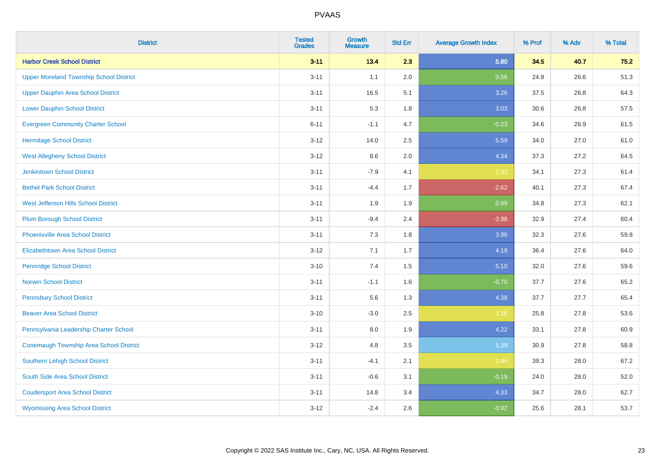| <b>District</b>                                | <b>Tested</b><br><b>Grades</b> | <b>Growth</b><br><b>Measure</b> | <b>Std Err</b> | <b>Average Growth Index</b> | % Prof | % Adv | % Total |
|------------------------------------------------|--------------------------------|---------------------------------|----------------|-----------------------------|--------|-------|---------|
| <b>Harbor Creek School District</b>            | $3 - 11$                       | 13.4                            | 2.3            | 5.80                        | 34.5   | 40.7  | 75.2    |
| <b>Upper Moreland Township School District</b> | $3 - 11$                       | 1.1                             | 2.0            | 0.56                        | 24.8   | 26.6  | 51.3    |
| <b>Upper Dauphin Area School District</b>      | $3 - 11$                       | 16.5                            | 5.1            | 3.26                        | 37.5   | 26.8  | 64.3    |
| <b>Lower Dauphin School District</b>           | $3 - 11$                       | 5.3                             | 1.8            | 3.03                        | 30.6   | 26.8  | 57.5    |
| <b>Evergreen Community Charter School</b>      | $6 - 11$                       | $-1.1$                          | 4.7            | $-0.23$                     | 34.6   | 26.9  | 61.5    |
| <b>Hermitage School District</b>               | $3 - 12$                       | 14.0                            | 2.5            | 5.59                        | 34.0   | 27.0  | 61.0    |
| <b>West Allegheny School District</b>          | $3 - 12$                       | 8.6                             | 2.0            | 4.34                        | 37.3   | 27.2  | 64.5    |
| <b>Jenkintown School District</b>              | $3 - 11$                       | $-7.9$                          | 4.1            | $-1.92$                     | 34.1   | 27.3  | 61.4    |
| <b>Bethel Park School District</b>             | $3 - 11$                       | $-4.4$                          | 1.7            | $-2.62$                     | 40.1   | 27.3  | 67.4    |
| West Jefferson Hills School District           | $3 - 11$                       | 1.9                             | 1.9            | 0.99                        | 34.8   | 27.3  | 62.1    |
| <b>Plum Borough School District</b>            | $3 - 11$                       | $-9.4$                          | 2.4            | $-3.98$                     | 32.9   | 27.4  | 60.4    |
| <b>Phoenixville Area School District</b>       | $3 - 11$                       | 7.3                             | 1.8            | 3.96                        | 32.3   | 27.6  | 59.8    |
| <b>Elizabethtown Area School District</b>      | $3 - 12$                       | 7.1                             | 1.7            | 4.19                        | 36.4   | 27.6  | 64.0    |
| <b>Pennridge School District</b>               | $3 - 10$                       | $7.4$                           | 1.5            | 5.10                        | 32.0   | 27.6  | 59.6    |
| <b>Norwin School District</b>                  | $3 - 11$                       | $-1.1$                          | 1.6            | $-0.70$                     | 37.7   | 27.6  | 65.2    |
| <b>Pennsbury School District</b>               | $3 - 11$                       | 5.6                             | 1.3            | 4.38                        | 37.7   | 27.7  | 65.4    |
| <b>Beaver Area School District</b>             | $3 - 10$                       | $-3.0$                          | 2.5            | $-1.16$                     | 25.8   | 27.8  | 53.6    |
| Pennsylvania Leadership Charter School         | $3 - 11$                       | 8.0                             | 1.9            | 4.22                        | 33.1   | 27.8  | 60.9    |
| <b>Conemaugh Township Area School District</b> | $3 - 12$                       | 4.8                             | 3.5            | 1.39                        | 30.9   | 27.8  | 58.8    |
| <b>Southern Lehigh School District</b>         | $3 - 11$                       | $-4.1$                          | 2.1            | $-1.94$                     | 39.3   | 28.0  | 67.2    |
| South Side Area School District                | $3 - 11$                       | $-0.6$                          | 3.1            | $-0.19$                     | 24.0   | 28.0  | 52.0    |
| <b>Coudersport Area School District</b>        | $3 - 11$                       | 14.8                            | 3.4            | 4.33                        | 34.7   | 28.0  | 62.7    |
| <b>Wyomissing Area School District</b>         | $3-12$                         | $-2.4$                          | 2.6            | $-0.92$                     | 25.6   | 28.1  | 53.7    |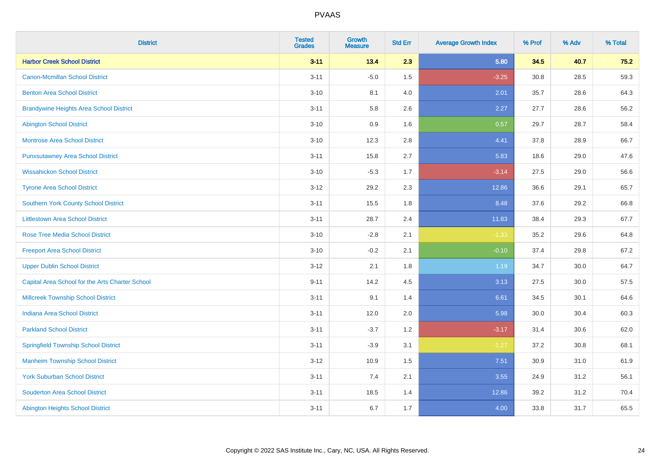| <b>District</b>                                 | <b>Tested</b><br><b>Grades</b> | <b>Growth</b><br><b>Measure</b> | <b>Std Err</b> | <b>Average Growth Index</b> | % Prof | % Adv | % Total |
|-------------------------------------------------|--------------------------------|---------------------------------|----------------|-----------------------------|--------|-------|---------|
| <b>Harbor Creek School District</b>             | $3 - 11$                       | 13.4                            | 2.3            | 5.80                        | 34.5   | 40.7  | $75.2$  |
| <b>Canon-Mcmillan School District</b>           | $3 - 11$                       | $-5.0$                          | 1.5            | $-3.25$                     | 30.8   | 28.5  | 59.3    |
| <b>Benton Area School District</b>              | $3 - 10$                       | 8.1                             | 4.0            | 2.01                        | 35.7   | 28.6  | 64.3    |
| <b>Brandywine Heights Area School District</b>  | $3 - 11$                       | 5.8                             | 2.6            | 2.27                        | 27.7   | 28.6  | 56.2    |
| <b>Abington School District</b>                 | $3 - 10$                       | 0.9                             | 1.6            | 0.57                        | 29.7   | 28.7  | 58.4    |
| <b>Montrose Area School District</b>            | $3 - 10$                       | 12.3                            | 2.8            | 4.41                        | 37.8   | 28.9  | 66.7    |
| <b>Punxsutawney Area School District</b>        | $3 - 11$                       | 15.8                            | 2.7            | 5.83                        | 18.6   | 29.0  | 47.6    |
| <b>Wissahickon School District</b>              | $3 - 10$                       | $-5.3$                          | 1.7            | $-3.14$                     | 27.5   | 29.0  | 56.6    |
| <b>Tyrone Area School District</b>              | $3 - 12$                       | 29.2                            | 2.3            | 12.86                       | 36.6   | 29.1  | 65.7    |
| <b>Southern York County School District</b>     | $3 - 11$                       | 15.5                            | 1.8            | 8.48                        | 37.6   | 29.2  | 66.8    |
| <b>Littlestown Area School District</b>         | $3 - 11$                       | 28.7                            | 2.4            | 11.83                       | 38.4   | 29.3  | 67.7    |
| <b>Rose Tree Media School District</b>          | $3 - 10$                       | $-2.8$                          | 2.1            | $-1.33$                     | 35.2   | 29.6  | 64.8    |
| <b>Freeport Area School District</b>            | $3 - 10$                       | $-0.2$                          | 2.1            | $-0.10$                     | 37.4   | 29.8  | 67.2    |
| <b>Upper Dublin School District</b>             | $3 - 12$                       | 2.1                             | 1.8            | 1.19                        | 34.7   | 30.0  | 64.7    |
| Capital Area School for the Arts Charter School | $9 - 11$                       | 14.2                            | 4.5            | 3.13                        | 27.5   | 30.0  | 57.5    |
| <b>Millcreek Township School District</b>       | $3 - 11$                       | 9.1                             | 1.4            | 6.61                        | 34.5   | 30.1  | 64.6    |
| <b>Indiana Area School District</b>             | $3 - 11$                       | 12.0                            | 2.0            | 5.98                        | 30.0   | 30.4  | 60.3    |
| <b>Parkland School District</b>                 | $3 - 11$                       | $-3.7$                          | 1.2            | $-3.17$                     | 31.4   | 30.6  | 62.0    |
| <b>Springfield Township School District</b>     | $3 - 11$                       | $-3.9$                          | 3.1            | $-1.27$                     | 37.2   | 30.8  | 68.1    |
| <b>Manheim Township School District</b>         | $3 - 12$                       | 10.9                            | 1.5            | 7.51                        | 30.9   | 31.0  | 61.9    |
| <b>York Suburban School District</b>            | $3 - 11$                       | 7.4                             | 2.1            | 3.55                        | 24.9   | 31.2  | 56.1    |
| <b>Souderton Area School District</b>           | $3 - 11$                       | 18.5                            | 1.4            | 12.86                       | 39.2   | 31.2  | 70.4    |
| <b>Abington Heights School District</b>         | $3 - 11$                       | 6.7                             | 1.7            | 4.00                        | 33.8   | 31.7  | 65.5    |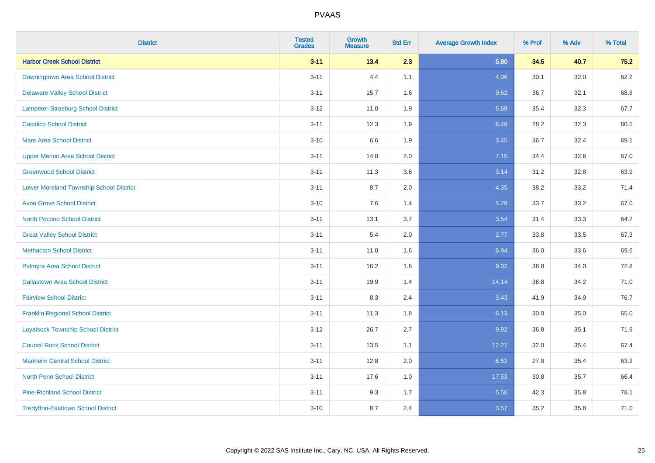| <b>District</b>                                | <b>Tested</b><br><b>Grades</b> | <b>Growth</b><br><b>Measure</b> | <b>Std Err</b> | <b>Average Growth Index</b> | % Prof | % Adv | % Total |
|------------------------------------------------|--------------------------------|---------------------------------|----------------|-----------------------------|--------|-------|---------|
| <b>Harbor Creek School District</b>            | $3 - 11$                       | 13.4                            | 2.3            | 5.80                        | 34.5   | 40.7  | 75.2    |
| Downingtown Area School District               | $3 - 11$                       | 4.4                             | 1.1            | 4.06                        | 30.1   | 32.0  | 62.2    |
| <b>Delaware Valley School District</b>         | $3 - 11$                       | 15.7                            | 1.6            | 9.62                        | 36.7   | 32.1  | 68.8    |
| <b>Lampeter-Strasburg School District</b>      | $3 - 12$                       | 11.0                            | 1.9            | 5.69                        | 35.4   | 32.3  | 67.7    |
| <b>Cocalico School District</b>                | $3 - 11$                       | 12.3                            | 1.9            | 6.48                        | 28.2   | 32.3  | 60.5    |
| <b>Mars Area School District</b>               | $3 - 10$                       | 6.6                             | 1.9            | 3.45                        | 36.7   | 32.4  | 69.1    |
| <b>Upper Merion Area School District</b>       | $3 - 11$                       | 14.0                            | 2.0            | 7.15                        | 34.4   | 32.6  | 67.0    |
| <b>Greenwood School District</b>               | $3 - 11$                       | 11.3                            | 3.6            | 3.14                        | 31.2   | 32.8  | 63.9    |
| <b>Lower Moreland Township School District</b> | $3 - 11$                       | 8.7                             | 2.0            | 4.35                        | 38.2   | 33.2  | 71.4    |
| <b>Avon Grove School District</b>              | $3 - 10$                       | 7.6                             | 1.4            | 5.29                        | 33.7   | 33.2  | 67.0    |
| <b>North Pocono School District</b>            | $3 - 11$                       | 13.1                            | 3.7            | 3.54                        | 31.4   | 33.3  | 64.7    |
| <b>Great Valley School District</b>            | $3 - 11$                       | 5.4                             | 2.0            | 2.77                        | 33.8   | 33.5  | 67.3    |
| <b>Methacton School District</b>               | $3 - 11$                       | 11.0                            | 1.6            | 6.94                        | 36.0   | 33.6  | 69.6    |
| Palmyra Area School District                   | $3 - 11$                       | 16.2                            | 1.8            | 9.02                        | 38.8   | 34.0  | 72.8    |
| <b>Dallastown Area School District</b>         | $3 - 11$                       | 19.9                            | 1.4            | 14.14                       | 36.8   | 34.2  | 71.0    |
| <b>Fairview School District</b>                | $3 - 11$                       | 8.3                             | 2.4            | 3.43                        | 41.9   | 34.9  | 76.7    |
| <b>Franklin Regional School District</b>       | $3 - 11$                       | 11.3                            | 1.8            | 6.13                        | 30.0   | 35.0  | 65.0    |
| <b>Loyalsock Township School District</b>      | $3 - 12$                       | 26.7                            | 2.7            | 9.92                        | 36.8   | 35.1  | 71.9    |
| <b>Council Rock School District</b>            | $3 - 11$                       | 13.5                            | 1.1            | 12.27                       | 32.0   | 35.4  | 67.4    |
| <b>Manheim Central School District</b>         | $3 - 11$                       | 12.8                            | 2.0            | 6.52                        | 27.8   | 35.4  | 63.2    |
| <b>North Penn School District</b>              | $3 - 11$                       | 17.6                            | 1.0            | 17.53                       | 30.8   | 35.7  | 66.4    |
| <b>Pine-Richland School District</b>           | $3 - 11$                       | 9.3                             | 1.7            | 5.56                        | 42.3   | 35.8  | 78.1    |
| <b>Tredyffrin-Easttown School District</b>     | $3 - 10$                       | 8.7                             | 2.4            | 3.57                        | 35.2   | 35.8  | 71.0    |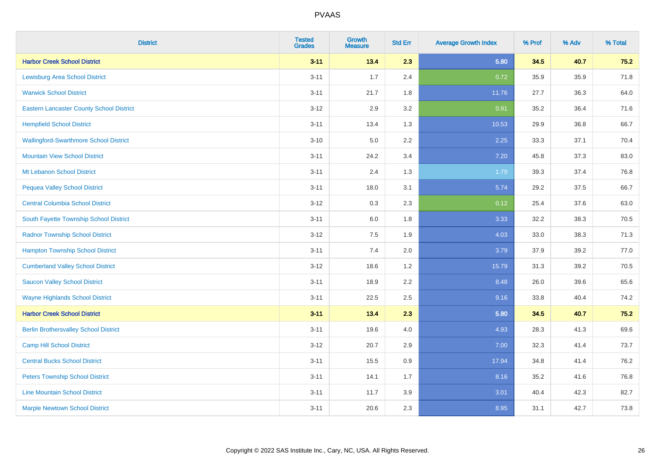| <b>District</b>                                 | <b>Tested</b><br><b>Grades</b> | Growth<br><b>Measure</b> | <b>Std Err</b> | <b>Average Growth Index</b> | % Prof | % Adv | % Total |
|-------------------------------------------------|--------------------------------|--------------------------|----------------|-----------------------------|--------|-------|---------|
| <b>Harbor Creek School District</b>             | $3 - 11$                       | 13.4                     | 2.3            | 5.80                        | 34.5   | 40.7  | 75.2    |
| <b>Lewisburg Area School District</b>           | $3 - 11$                       | 1.7                      | 2.4            | 0.72                        | 35.9   | 35.9  | 71.8    |
| <b>Warwick School District</b>                  | $3 - 11$                       | 21.7                     | 1.8            | 11.76                       | 27.7   | 36.3  | 64.0    |
| <b>Eastern Lancaster County School District</b> | $3 - 12$                       | 2.9                      | $3.2\,$        | 0.91                        | 35.2   | 36.4  | 71.6    |
| <b>Hempfield School District</b>                | $3 - 11$                       | 13.4                     | 1.3            | 10.53                       | 29.9   | 36.8  | 66.7    |
| <b>Wallingford-Swarthmore School District</b>   | $3 - 10$                       | 5.0                      | 2.2            | 2.25                        | 33.3   | 37.1  | 70.4    |
| <b>Mountain View School District</b>            | $3 - 11$                       | 24.2                     | 3.4            | 7.20                        | 45.8   | 37.3  | 83.0    |
| Mt Lebanon School District                      | $3 - 11$                       | 2.4                      | 1.3            | 1.79                        | 39.3   | 37.4  | 76.8    |
| <b>Pequea Valley School District</b>            | $3 - 11$                       | 18.0                     | 3.1            | 5.74                        | 29.2   | 37.5  | 66.7    |
| <b>Central Columbia School District</b>         | $3 - 12$                       | $0.3\,$                  | 2.3            | 0.12                        | 25.4   | 37.6  | 63.0    |
| South Fayette Township School District          | $3 - 11$                       | 6.0                      | 1.8            | 3.33                        | 32.2   | 38.3  | 70.5    |
| <b>Radnor Township School District</b>          | $3 - 12$                       | 7.5                      | 1.9            | 4.03                        | 33.0   | 38.3  | 71.3    |
| <b>Hampton Township School District</b>         | $3 - 11$                       | 7.4                      | 2.0            | 3.79                        | 37.9   | 39.2  | 77.0    |
| <b>Cumberland Valley School District</b>        | $3-12$                         | 18.6                     | 1.2            | 15.79                       | 31.3   | 39.2  | 70.5    |
| <b>Saucon Valley School District</b>            | $3 - 11$                       | 18.9                     | 2.2            | 8.48                        | 26.0   | 39.6  | 65.6    |
| <b>Wayne Highlands School District</b>          | $3 - 11$                       | 22.5                     | 2.5            | 9.16                        | 33.8   | 40.4  | 74.2    |
| <b>Harbor Creek School District</b>             | $3 - 11$                       | 13.4                     | 2.3            | 5.80                        | 34.5   | 40.7  | 75.2    |
| <b>Berlin Brothersvalley School District</b>    | $3 - 11$                       | 19.6                     | 4.0            | 4.93                        | 28.3   | 41.3  | 69.6    |
| <b>Camp Hill School District</b>                | $3 - 12$                       | 20.7                     | 2.9            | 7.00                        | 32.3   | 41.4  | 73.7    |
| <b>Central Bucks School District</b>            | $3 - 11$                       | 15.5                     | 0.9            | 17.94                       | 34.8   | 41.4  | 76.2    |
| <b>Peters Township School District</b>          | $3 - 11$                       | 14.1                     | 1.7            | 8.16                        | 35.2   | 41.6  | 76.8    |
| <b>Line Mountain School District</b>            | $3 - 11$                       | 11.7                     | 3.9            | 3.01                        | 40.4   | 42.3  | 82.7    |
| <b>Marple Newtown School District</b>           | $3 - 11$                       | 20.6                     | 2.3            | 8.95                        | 31.1   | 42.7  | 73.8    |